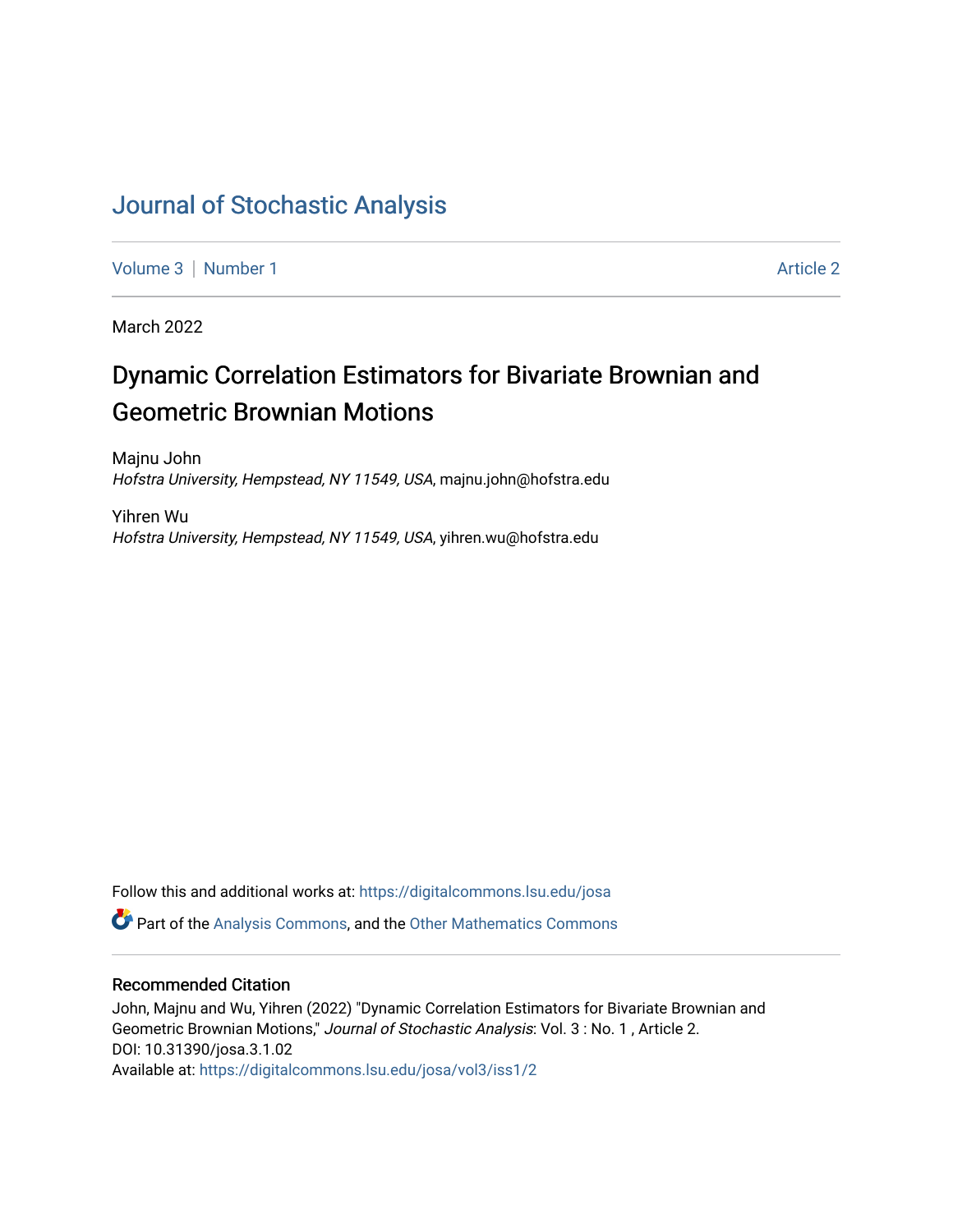## [Journal of Stochastic Analysis](https://digitalcommons.lsu.edu/josa)

[Volume 3](https://digitalcommons.lsu.edu/josa/vol3) | [Number 1](https://digitalcommons.lsu.edu/josa/vol3/iss1) Article 2

March 2022

# Dynamic Correlation Estimators for Bivariate Brownian and Geometric Brownian Motions

Majnu John Hofstra University, Hempstead, NY 11549, USA, majnu.john@hofstra.edu

Yihren Wu Hofstra University, Hempstead, NY 11549, USA, yihren.wu@hofstra.edu

Follow this and additional works at: [https://digitalcommons.lsu.edu/josa](https://digitalcommons.lsu.edu/josa?utm_source=digitalcommons.lsu.edu%2Fjosa%2Fvol3%2Fiss1%2F2&utm_medium=PDF&utm_campaign=PDFCoverPages) 

**P** Part of the [Analysis Commons](http://network.bepress.com/hgg/discipline/177?utm_source=digitalcommons.lsu.edu%2Fjosa%2Fvol3%2Fiss1%2F2&utm_medium=PDF&utm_campaign=PDFCoverPages), and the [Other Mathematics Commons](http://network.bepress.com/hgg/discipline/185?utm_source=digitalcommons.lsu.edu%2Fjosa%2Fvol3%2Fiss1%2F2&utm_medium=PDF&utm_campaign=PDFCoverPages)

## Recommended Citation

John, Majnu and Wu, Yihren (2022) "Dynamic Correlation Estimators for Bivariate Brownian and Geometric Brownian Motions," Journal of Stochastic Analysis: Vol. 3 : No. 1 , Article 2. DOI: 10.31390/josa.3.1.02 Available at: [https://digitalcommons.lsu.edu/josa/vol3/iss1/2](https://digitalcommons.lsu.edu/josa/vol3/iss1/2?utm_source=digitalcommons.lsu.edu%2Fjosa%2Fvol3%2Fiss1%2F2&utm_medium=PDF&utm_campaign=PDFCoverPages)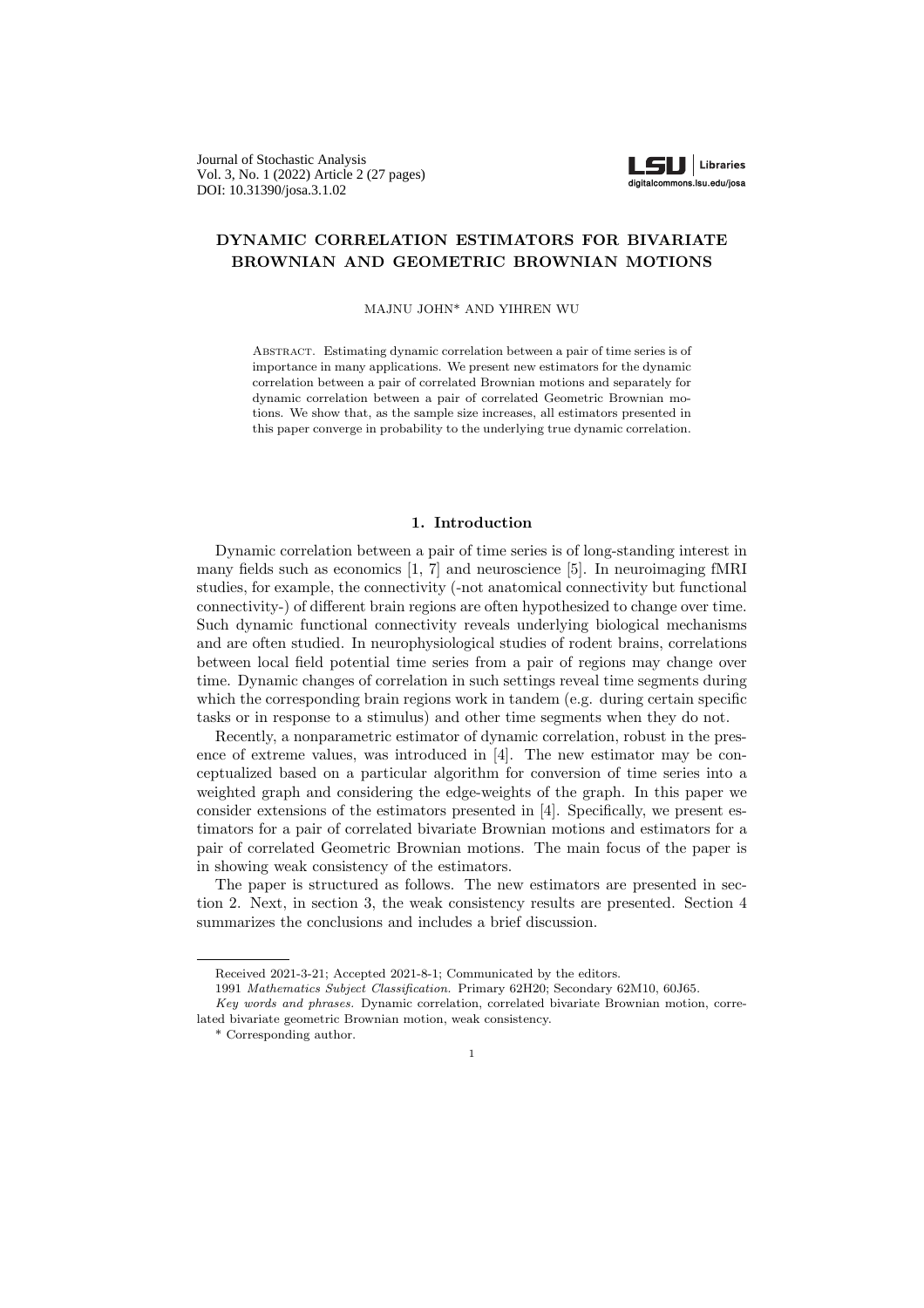Journal of Stochastic Analysis Vol. 3, No. 1 (2022) Article 2 (27 pages) DOI: 10.31390/josa.3.1.02



### DYNAMIC CORRELATION ESTIMATORS FOR BIVARIATE BROWNIAN AND GEOMETRIC BROWNIAN MOTIONS

MAJNU JOHN\* AND YIHREN WU

Abstract. Estimating dynamic correlation between a pair of time series is of importance in many applications. We present new estimators for the dynamic correlation between a pair of correlated Brownian motions and separately for dynamic correlation between a pair of correlated Geometric Brownian motions. We show that, as the sample size increases, all estimators presented in this paper converge in probability to the underlying true dynamic correlation.

#### 1. Introduction

Dynamic correlation between a pair of time series is of long-standing interest in many fields such as economics [1, 7] and neuroscience [5]. In neuroimaging fMRI studies, for example, the connectivity (-not anatomical connectivity but functional connectivity-) of different brain regions are often hypothesized to change over time. Such dynamic functional connectivity reveals underlying biological mechanisms and are often studied. In neurophysiological studies of rodent brains, correlations between local field potential time series from a pair of regions may change over time. Dynamic changes of correlation in such settings reveal time segments during which the corresponding brain regions work in tandem (e.g. during certain specific tasks or in response to a stimulus) and other time segments when they do not.

Recently, a nonparametric estimator of dynamic correlation, robust in the presence of extreme values, was introduced in [4]. The new estimator may be conceptualized based on a particular algorithm for conversion of time series into a weighted graph and considering the edge-weights of the graph. In this paper we consider extensions of the estimators presented in [4]. Specifically, we present estimators for a pair of correlated bivariate Brownian motions and estimators for a pair of correlated Geometric Brownian motions. The main focus of the paper is in showing weak consistency of the estimators.

The paper is structured as follows. The new estimators are presented in section 2. Next, in section 3, the weak consistency results are presented. Section 4 summarizes the conclusions and includes a brief discussion.

Received 2021-3-21; Accepted 2021-8-1; Communicated by the editors.

<sup>1991</sup> Mathematics Subject Classification. Primary 62H20; Secondary 62M10, 60J65.

Key words and phrases. Dynamic correlation, correlated bivariate Brownian motion, correlated bivariate geometric Brownian motion, weak consistency.

<sup>\*</sup> Corresponding author.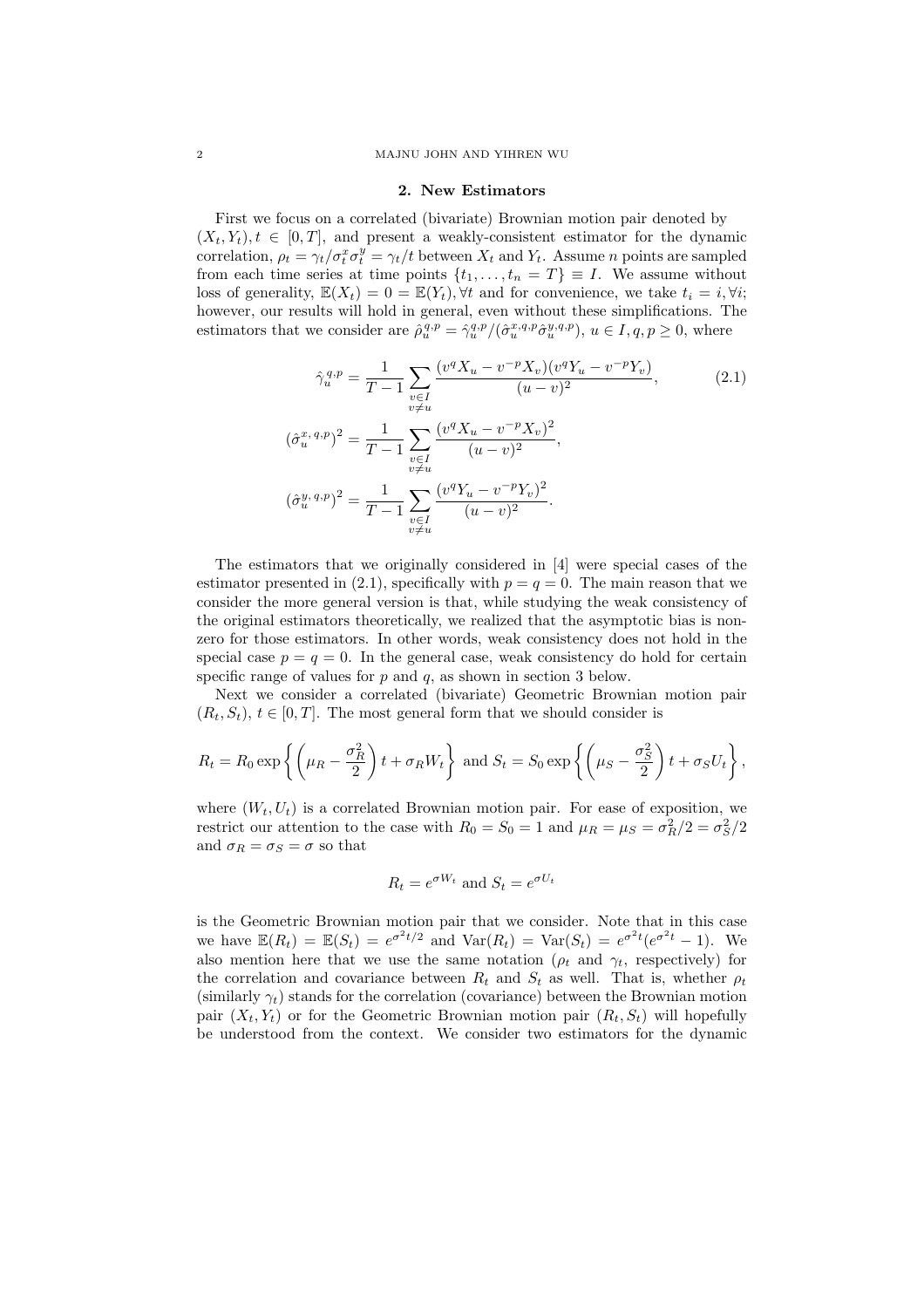#### 2. New Estimators

First we focus on a correlated (bivariate) Brownian motion pair denoted by  $(X_t, Y_t), t \in [0, T]$ , and present a weakly-consistent estimator for the dynamic correlation,  $\rho_t = \gamma_t/\sigma_t^x \sigma_t^y = \gamma_t/t$  between  $X_t$  and  $Y_t$ . Assume n points are sampled from each time series at time points  $\{t_1, \ldots, t_n = T\} \equiv I$ . We assume without loss of generality,  $\mathbb{E}(X_t) = 0 = \mathbb{E}(Y_t)$ ,  $\forall t$  and for convenience, we take  $t_i = i$ ,  $\forall i$ ; however, our results will hold in general, even without these simplifications. The estimators that we consider are  $\hat{\rho}_u^{q,p} = \hat{\gamma}_u^{q,p}/(\hat{\sigma}_u^{x,q,p} \hat{\sigma}_u^{y,q,p}), u \in I, q, p \ge 0$ , where

$$
\hat{\gamma}_u^{q,p} = \frac{1}{T-1} \sum_{\substack{v \in I \\ v \neq u}} \frac{(v^q X_u - v^{-p} X_v)(v^q Y_u - v^{-p} Y_v)}{(u-v)^2},
$$
\n
$$
(\hat{\sigma}_u^{x,q,p})^2 = \frac{1}{T-1} \sum_{\substack{v \in I \\ v \neq u}} \frac{(v^q X_u - v^{-p} X_v)^2}{(u-v)^2},
$$
\n
$$
(\hat{\sigma}_u^{y,q,p})^2 = \frac{1}{T-1} \sum_{\substack{v \in I \\ v \neq u}} \frac{(v^q Y_u - v^{-p} Y_v)^2}{(u-v)^2}.
$$
\n(2.1)

The estimators that we originally considered in [4] were special cases of the estimator presented in (2.1), specifically with  $p = q = 0$ . The main reason that we consider the more general version is that, while studying the weak consistency of the original estimators theoretically, we realized that the asymptotic bias is nonzero for those estimators. In other words, weak consistency does not hold in the special case  $p = q = 0$ . In the general case, weak consistency do hold for certain specific range of values for  $p$  and  $q$ , as shown in section 3 below.

Next we consider a correlated (bivariate) Geometric Brownian motion pair  $(R_t, S_t)$ ,  $t \in [0, T]$ . The most general form that we should consider is

$$
R_t = R_0 \exp\left\{ \left( \mu_R - \frac{\sigma_R^2}{2} \right) t + \sigma_R W_t \right\} \text{ and } S_t = S_0 \exp\left\{ \left( \mu_S - \frac{\sigma_S^2}{2} \right) t + \sigma_S U_t \right\},\,
$$

where  $(W_t, U_t)$  is a correlated Brownian motion pair. For ease of exposition, we restrict our attention to the case with  $R_0 = S_0 = 1$  and  $\mu_R = \mu_S = \frac{\sigma_R^2}{2} = \frac{\sigma_S^2}{2}$ and  $\sigma_R = \sigma_S = \sigma$  so that

$$
R_t = e^{\sigma W_t} \text{ and } S_t = e^{\sigma U_t}
$$

is the Geometric Brownian motion pair that we consider. Note that in this case we have  $\mathbb{E}(R_t) = \mathbb{E}(S_t) = e^{\sigma^2 t/2}$  and  $\text{Var}(R_t) = \text{Var}(S_t) = e^{\sigma^2 t} (e^{\sigma^2 t} - 1)$ . We also mention here that we use the same notation ( $\rho_t$  and  $\gamma_t$ , respectively) for the correlation and covariance between  $R_t$  and  $S_t$  as well. That is, whether  $\rho_t$ (similarly  $\gamma_t$ ) stands for the correlation (covariance) between the Brownian motion pair  $(X_t, Y_t)$  or for the Geometric Brownian motion pair  $(R_t, S_t)$  will hopefully be understood from the context. We consider two estimators for the dynamic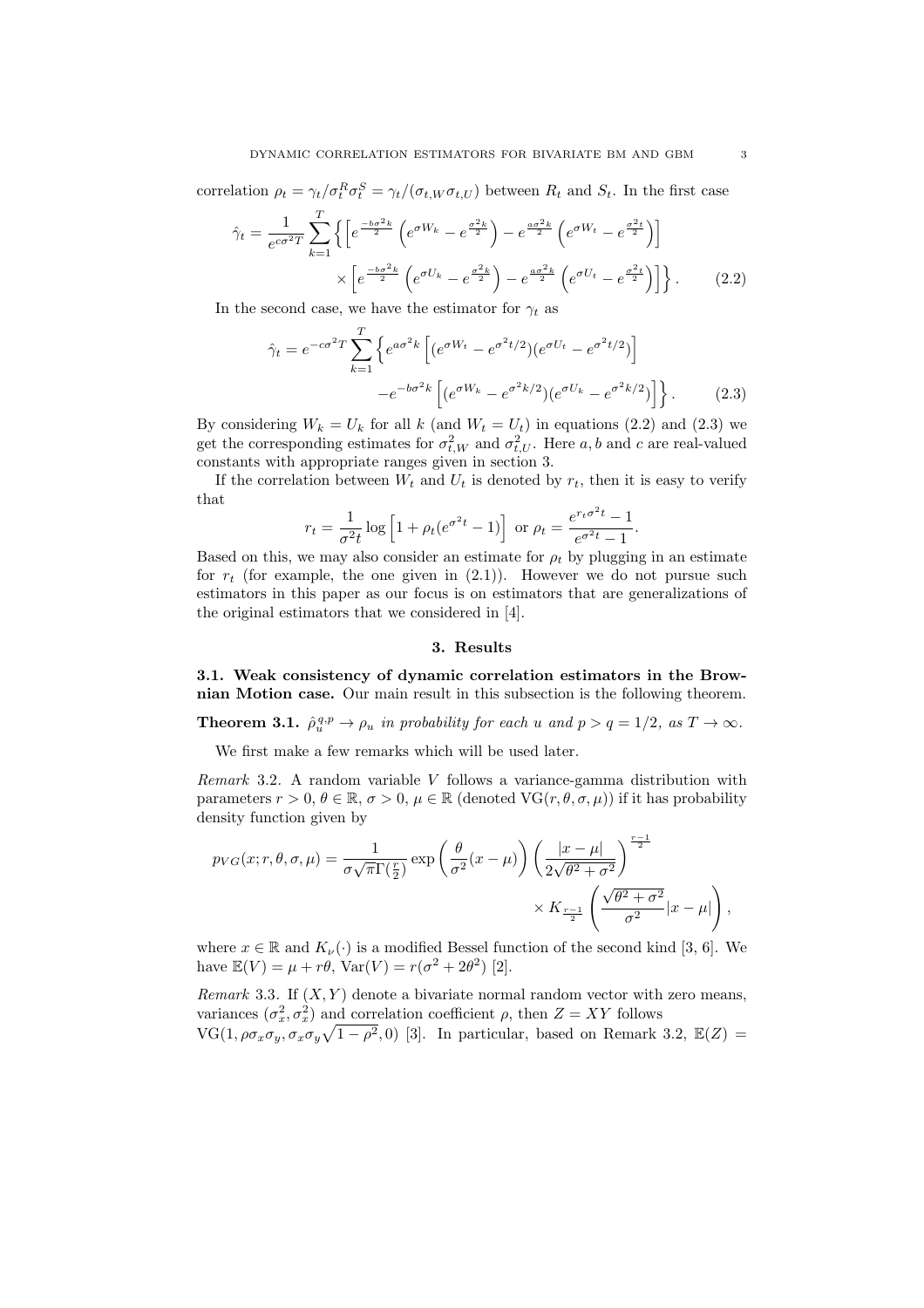correlation  $\rho_t = \gamma_t/\sigma_t^R \sigma_t^S = \gamma_t/(\sigma_{t,W} \sigma_{t,U})$  between  $R_t$  and  $S_t$ . In the first case

$$
\hat{\gamma}_t = \frac{1}{e^{c\sigma^2 T}} \sum_{k=1}^T \left\{ \left[ e^{\frac{-b\sigma^2 k}{2}} \left( e^{\sigma W_k} - e^{\frac{\sigma^2 k}{2}} \right) - e^{\frac{a\sigma^2 k}{2}} \left( e^{\sigma W_t} - e^{\frac{\sigma^2 t}{2}} \right) \right] \times \left[ e^{\frac{-b\sigma^2 k}{2}} \left( e^{\sigma U_k} - e^{\frac{\sigma^2 k}{2}} \right) - e^{\frac{a\sigma^2 k}{2}} \left( e^{\sigma U_t} - e^{\frac{\sigma^2 t}{2}} \right) \right] \right\}.
$$
\n(2.2)

In the second case, we have the estimator for  $\gamma_t$  as

$$
\hat{\gamma}_t = e^{-c\sigma^2 T} \sum_{k=1}^T \left\{ e^{a\sigma^2 k} \left[ (e^{\sigma W_t} - e^{\sigma^2 t/2}) (e^{\sigma U_t} - e^{\sigma^2 t/2}) \right] -e^{-b\sigma^2 k} \left[ (e^{\sigma W_k} - e^{\sigma^2 k/2}) (e^{\sigma U_k} - e^{\sigma^2 k/2}) \right] \right\}.
$$
\n(2.3)

By considering  $W_k = U_k$  for all k (and  $W_t = U_t$ ) in equations (2.2) and (2.3) we get the corresponding estimates for  $\sigma_{t,W}^2$  and  $\sigma_{t,U}^2$ . Here a, b and c are real-valued constants with appropriate ranges given in section 3.

If the correlation between  $W_t$  and  $U_t$  is denoted by  $r_t$ , then it is easy to verify that

$$
r_t = \frac{1}{\sigma^2 t} \log \left[ 1 + \rho_t (e^{\sigma^2 t} - 1) \right] \text{ or } \rho_t = \frac{e^{r_t \sigma^2 t} - 1}{e^{\sigma^2 t} - 1}.
$$

Based on this, we may also consider an estimate for  $\rho_t$  by plugging in an estimate for  $r_t$  (for example, the one given in  $(2.1)$ ). However we do not pursue such estimators in this paper as our focus is on estimators that are generalizations of the original estimators that we considered in [4].

#### 3. Results

3.1. Weak consistency of dynamic correlation estimators in the Brownian Motion case. Our main result in this subsection is the following theorem.

**Theorem 3.1.**  $\hat{\rho}_u^{q,p} \to \rho_u$  in probability for each u and  $p > q = 1/2$ , as  $T \to \infty$ .

We first make a few remarks which will be used later.

Remark 3.2. A random variable V follows a variance-gamma distribution with parameters  $r > 0$ ,  $\theta \in \mathbb{R}$ ,  $\sigma > 0$ ,  $\mu \in \mathbb{R}$  (denoted  $\text{VG}(r, \theta, \sigma, \mu)$ ) if it has probability density function given by

$$
p_{VG}(x; r, \theta, \sigma, \mu) = \frac{1}{\sigma \sqrt{\pi} \Gamma(\frac{r}{2})} \exp \left( \frac{\theta}{\sigma^2} (x - \mu) \right) \left( \frac{|x - \mu|}{2\sqrt{\theta^2 + \sigma^2}} \right)^{\frac{r - 1}{2}} \times K_{\frac{r - 1}{2}} \left( \frac{\sqrt{\theta^2 + \sigma^2}}{\sigma^2} |x - \mu| \right),
$$

where  $x \in \mathbb{R}$  and  $K_{\nu}(\cdot)$  is a modified Bessel function of the second kind [3, 6]. We have  $\mathbb{E}(V) = \mu + r\theta$ ,  $\text{Var}(V) = r(\sigma^2 + 2\theta^2)$  [2].

Remark 3.3. If  $(X, Y)$  denote a bivariate normal random vector with zero means, variances  $(\sigma_x^2, \sigma_x^2)$  and correlation coefficient  $\rho$ , then  $Z = XY$  follows  $VG(1, \rho \sigma_x \sigma_y, \sigma_x \sigma_y \sqrt{1-\rho^2}, 0)$  [3]. In particular, based on Remark 3.2,  $\mathbb{E}(Z)$  =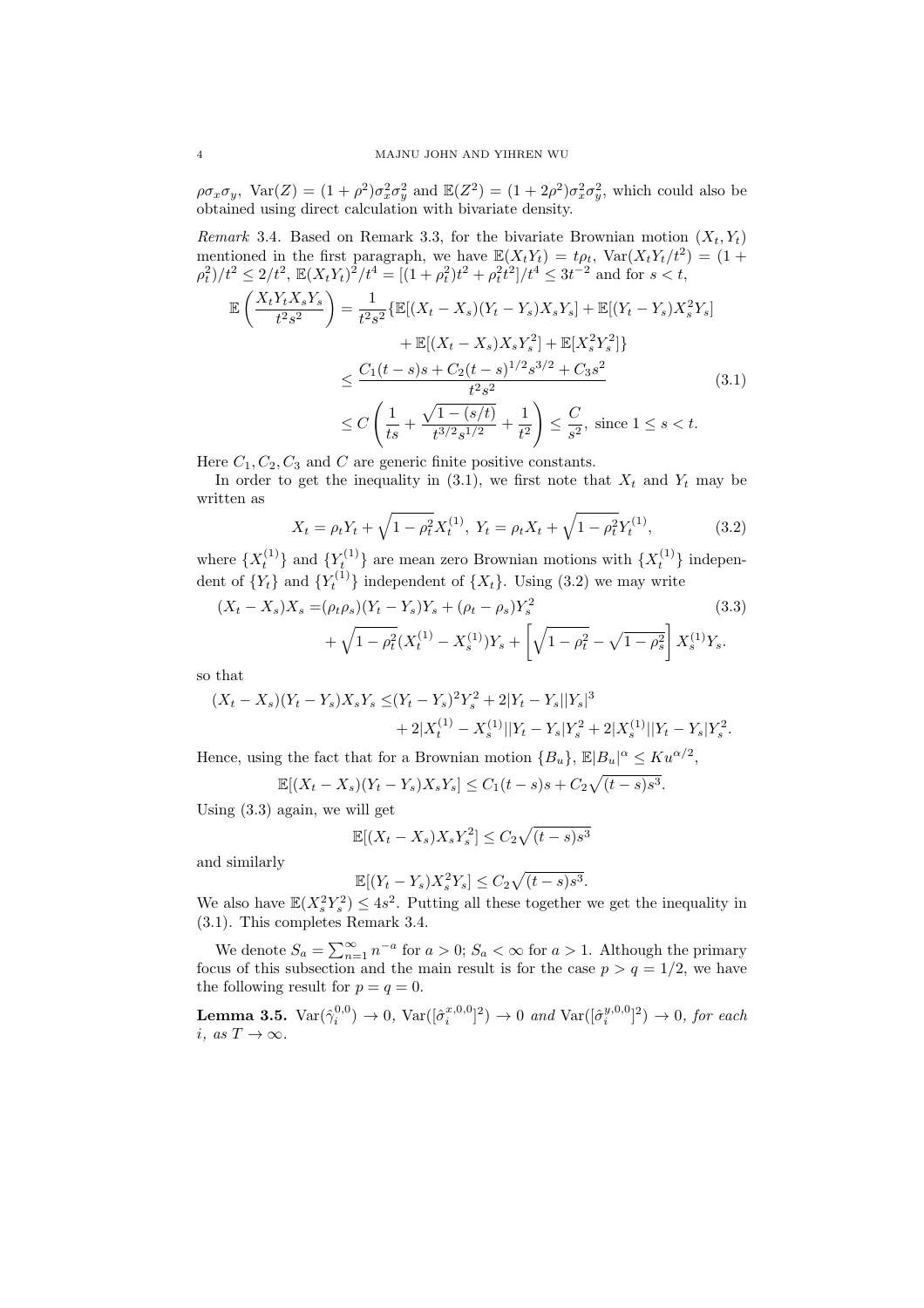$\rho\sigma_x\sigma_y$ , Var $(Z)=(1+\rho^2)\sigma_x^2\sigma_y^2$  and  $\mathbb{E}(Z^2)=(1+2\rho^2)\sigma_x^2\sigma_y^2$ , which could also be obtained using direct calculation with bivariate density.

Remark 3.4. Based on Remark 3.3, for the bivariate Brownian motion  $(X_t, Y_t)$ mentioned in the first paragraph, we have  $\mathbb{E}(X_tY_t) = t\rho_t$ ,  $\text{Var}(X_tY_t/t^2) = (1 +$  $\rho_t^2/t^2 \leq 2/t^2$ ,  $\mathbb{E}(X_t Y_t)^2/t^4 = [(1+\rho_t^2)t^2 + \rho_t^2 t^2]/t^4 \leq 3t^{-2}$  and for  $s < t$ ,

$$
\mathbb{E}\left(\frac{X_t Y_t X_s Y_s}{t^2 s^2}\right) = \frac{1}{t^2 s^2} \left\{ \mathbb{E}[(X_t - X_s)(Y_t - Y_s)X_s Y_s] + \mathbb{E}[(Y_t - Y_s)X_s^2 Y_s] + \mathbb{E}[(X_t - X_s)X_s Y_s^2] + \mathbb{E}[X_s^2 Y_s^2] \right\}
$$
  

$$
\leq \frac{C_1(t - s)s + C_2(t - s)^{1/2} s^{3/2} + C_3 s^2}{t^2 s^2}
$$
(3.1)  

$$
\leq C \left(\frac{1}{ts} + \frac{\sqrt{1 - (s/t)} }{t^{3/2} s^{1/2}} + \frac{1}{t^2}\right) \leq \frac{C}{s^2}, \text{ since } 1 \leq s < t.
$$

Here  $C_1, C_2, C_3$  and C are generic finite positive constants.

In order to get the inequality in  $(3.1)$ , we first note that  $X_t$  and  $Y_t$  may be written as

$$
X_t = \rho_t Y_t + \sqrt{1 - \rho_t^2} X_t^{(1)}, \ Y_t = \rho_t X_t + \sqrt{1 - \rho_t^2} Y_t^{(1)}, \tag{3.2}
$$

where  $\{X_t^{(1)}\}$  and  $\{Y_t^{(1)}\}$  are mean zero Brownian motions with  $\{X_t^{(1)}\}$  independent of  ${Y_t}$  and  ${Y_t^{(1)}}$  independent of  ${X_t}$ . Using (3.2) we may write

$$
(X_t - X_s)X_s = (\rho_t \rho_s)(Y_t - Y_s)Y_s + (\rho_t - \rho_s)Y_s^2
$$
\n
$$
+ \sqrt{1 - \rho_t^2}(X_t^{(1)} - X_s^{(1)})Y_s + \left[\sqrt{1 - \rho_t^2} - \sqrt{1 - \rho_s^2}\right]X_s^{(1)}Y_s.
$$
\n(3.3)

so that

$$
(X_t - X_s)(Y_t - Y_s)X_sY_s \le (Y_t - Y_s)^2 Y_s^2 + 2|Y_t - Y_s||Y_s|^3
$$
  
+ 2|X\_t^{(1)} - X\_s^{(1)}||Y\_t - Y\_s|Y\_s^2 + 2|X\_s^{(1)}||Y\_t - Y\_s|Y\_s^2.

Hence, using the fact that for a Brownian motion  $\{B_u\}$ ,  $\mathbb{E}|B_u|^\alpha \leq Ku^{\alpha/2}$ ,

$$
\mathbb{E}[(X_t - X_s)(Y_t - Y_s)X_sY_s] \le C_1(t - s)s + C_2\sqrt{(t - s)s^3}.
$$

Using (3.3) again, we will get

$$
\mathbb{E}[(X_t - X_s)X_s Y_s^2] \le C_2 \sqrt{(t-s)s^3}
$$

and similarly

$$
\mathbb{E}[(Y_t - Y_s)X_s^2Y_s] \le C_2\sqrt{(t-s)s^3}.
$$

We also have  $\mathbb{E}(X_s^2 Y_s^2) \leq 4s^2$ . Putting all these together we get the inequality in (3.1). This completes Remark 3.4.

We denote  $S_a = \sum_{n=1}^{\infty} n^{-a}$  for  $a > 0$ ;  $S_a < \infty$  for  $a > 1$ . Although the primary focus of this subsection and the main result is for the case  $p > q = 1/2$ , we have the following result for  $p = q = 0$ .

**Lemma 3.5.**  $\text{Var}(\hat{\gamma}_i^{0,0}) \to 0$ ,  $\text{Var}([\hat{\sigma}_i^{x,0,0}]^2) \to 0$  and  $\text{Var}([\hat{\sigma}_i^{y,0,0}]^2) \to 0$ , for each i, as  $T \to \infty$ .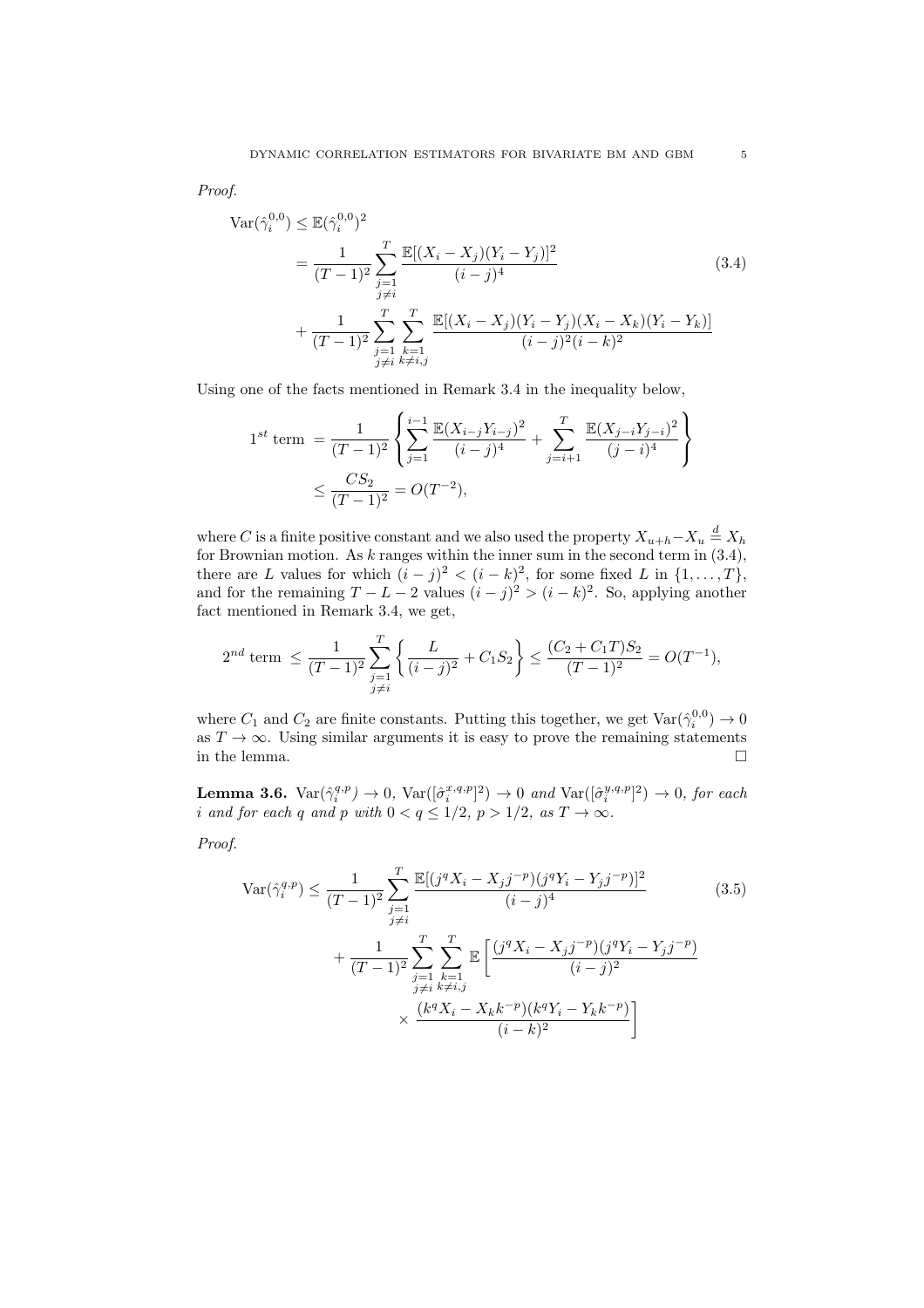Proof.

$$
\operatorname{Var}(\hat{\gamma}_i^{0,0}) \le \mathbb{E}(\hat{\gamma}_i^{0,0})^2
$$
\n
$$
= \frac{1}{(T-1)^2} \sum_{\substack{j=1 \ j \neq i}}^T \frac{\mathbb{E}[(X_i - X_j)(Y_i - Y_j)]^2}{(i-j)^4}
$$
\n
$$
+ \frac{1}{(T-1)^2} \sum_{\substack{j=1 \ j \neq i}}^T \sum_{\substack{k=1 \ j \neq i}}^T \frac{\mathbb{E}[(X_i - X_j)(Y_i - Y_j)(X_i - X_k)(Y_i - Y_k)]}{(i-j)^2(i-k)^2}
$$
\n(3.4)

Using one of the facts mentioned in Remark 3.4 in the inequality below,

$$
1^{st} \text{ term } = \frac{1}{(T-1)^2} \left\{ \sum_{j=1}^{i-1} \frac{\mathbb{E}(X_{i-j}Y_{i-j})^2}{(i-j)^4} + \sum_{j=i+1}^T \frac{\mathbb{E}(X_{j-i}Y_{j-i})^2}{(j-i)^4} \right\}
$$
  

$$
\leq \frac{CS_2}{(T-1)^2} = O(T^{-2}),
$$

where C is a finite positive constant and we also used the property  $X_{u+h}-X_u \stackrel{d}{=} X_h$ for Brownian motion. As  $k$  ranges within the inner sum in the second term in  $(3.4)$ , there are L values for which  $(i - j)^2 < (i - k)^2$ , for some fixed L in  $\{1, \ldots, T\}$ , and for the remaining  $T - L - 2$  values  $(i - j)^2 > (i - k)^2$ . So, applying another fact mentioned in Remark 3.4, we get,

$$
2^{nd} \text{ term } \le \frac{1}{(T-1)^2} \sum_{\substack{j=1 \ j \neq i}}^T \left\{ \frac{L}{(i-j)^2} + C_1 S_2 \right\} \le \frac{(C_2 + C_1 T) S_2}{(T-1)^2} = O(T^{-1}),
$$

where  $C_1$  and  $C_2$  are finite constants. Putting this together, we get  $\text{Var}(\hat{\gamma}_i^{0,0}) \to 0$ as  $T \to \infty$ . Using similar arguments it is easy to prove the remaining statements in the lemma.  $\Box$ 

**Lemma 3.6.**  $\text{Var}(\hat{\gamma}_i^{q,p}) \to 0$ ,  $\text{Var}([\hat{\sigma}_i^{x,q,p}]^2) \to 0$  and  $\text{Var}([\hat{\sigma}_i^{y,q,p}]^2) \to 0$ , for each i and for each q and p with  $0 < q \leq 1/2$ ,  $p > 1/2$ , as  $T \to \infty$ .

Proof.

$$
\operatorname{Var}(\hat{\gamma}_i^{q,p}) \le \frac{1}{(T-1)^2} \sum_{\substack{j=1 \ j \ne i}}^T \frac{\mathbb{E}[(j^q X_i - X_j j^{-p})(j^q Y_i - Y_j j^{-p})]^2}{(i-j)^4} \qquad (3.5)
$$
  
+ 
$$
\frac{1}{(T-1)^2} \sum_{\substack{j=1 \ j \ne i}}^T \sum_{\substack{k=1 \ j \ne i}}^T \mathbb{E}\left[\frac{(j^q X_i - X_j j^{-p})(j^q Y_i - Y_j j^{-p})}{(i-j)^2}\right]
$$
  
 
$$
\times \frac{(k^q X_i - X_k k^{-p})(k^q Y_i - Y_k k^{-p})}{(i-k)^2}\right]
$$
(3.5)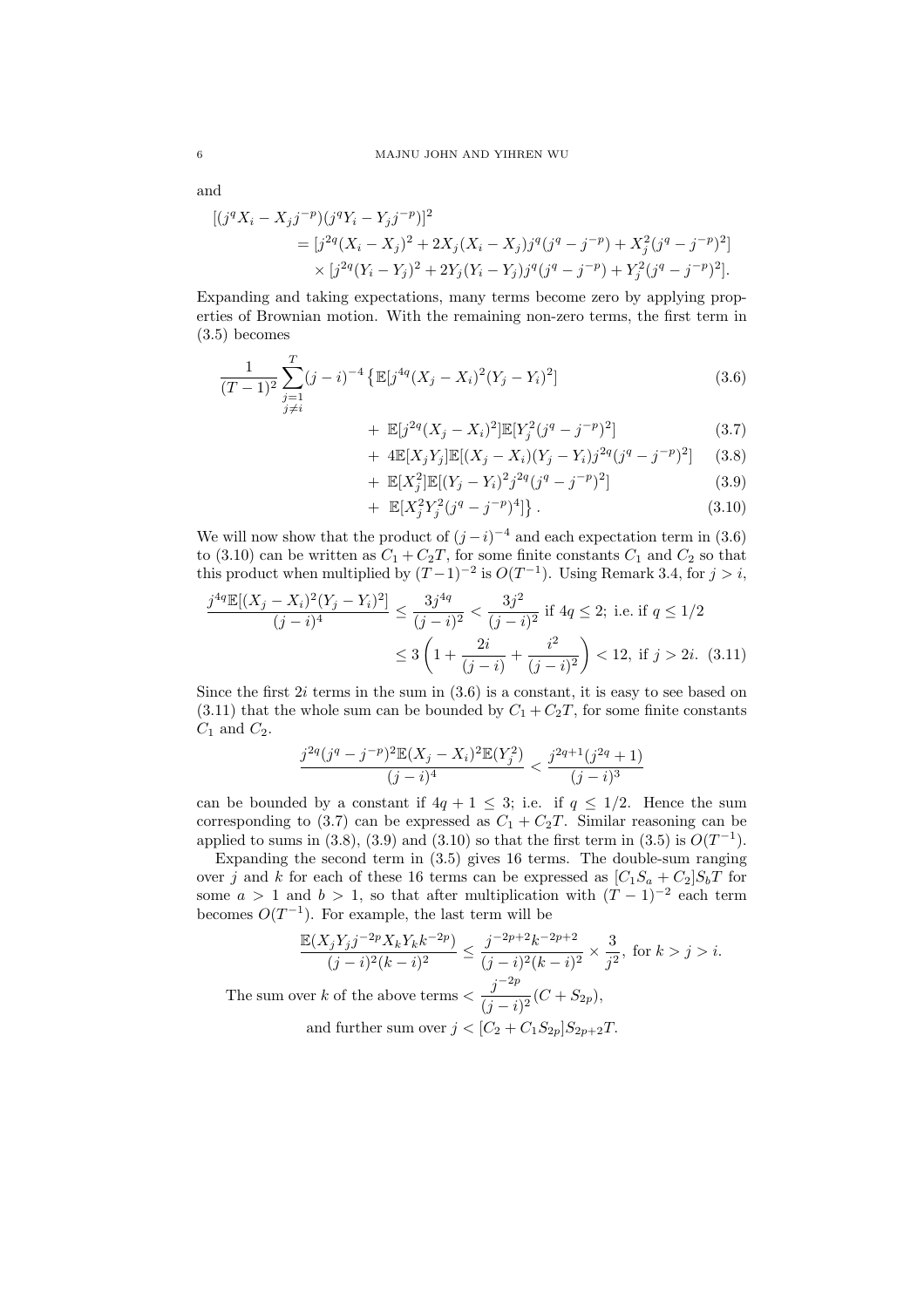and

$$
[(j^{q}X_{i} - X_{j}j^{-p})(j^{q}Y_{i} - Y_{j}j^{-p})]^{2}
$$
  
= 
$$
[j^{2q}(X_{i} - X_{j})^{2} + 2X_{j}(X_{i} - X_{j})j^{q}(j^{q} - j^{-p}) + X_{j}^{2}(j^{q} - j^{-p})^{2}]
$$
  

$$
\times [j^{2q}(Y_{i} - Y_{j})^{2} + 2Y_{j}(Y_{i} - Y_{j})j^{q}(j^{q} - j^{-p}) + Y_{j}^{2}(j^{q} - j^{-p})^{2}].
$$

Expanding and taking expectations, many terms become zero by applying properties of Brownian motion. With the remaining non-zero terms, the first term in (3.5) becomes

$$
\frac{1}{(T-1)^2} \sum_{\substack{j=1 \ j \neq i}}^{T} (j-i)^{-4} \left\{ \mathbb{E}[j^{4q}(X_j - X_i)^2 (Y_j - Y_i)^2] \right\}
$$
\n(3.6)

+ 
$$
\mathbb{E}[j^{2q}(X_j - X_i)^2] \mathbb{E}[Y_j^2(j^q - j^{-p})^2]
$$
 (3.7)

+ 
$$
4\mathbb{E}[X_j Y_j] \mathbb{E}[(X_j - X_i)(Y_j - Y_i)j^{2q}(j^q - j^{-p})^2]
$$
 (3.8)

+ 
$$
\mathbb{E}[X_j^2]\mathbb{E}[(Y_j - Y_i)^2 j^{2q} (j^q - j^{-p})^2]
$$
 (3.9)

+ 
$$
\mathbb{E}[X_j^2 Y_j^2 (j^q - j^{-p})^4]
$$
 }. (3.10)

We will now show that the product of  $(j-i)^{-4}$  and each expectation term in (3.6) to (3.10) can be written as  $C_1 + C_2T$ , for some finite constants  $C_1$  and  $C_2$  so that this product when multiplied by  $(T-1)^{-2}$  is  $O(T^{-1})$ . Using Remark 3.4, for  $j > i$ ,

$$
\frac{j^{4q} \mathbb{E}[(X_j - X_i)^2 (Y_j - Y_i)^2]}{(j-i)^4} \le \frac{3j^{4q}}{(j-i)^2} < \frac{3j^2}{(j-i)^2} \text{ if } 4q \le 2; \text{ i.e. if } q \le 1/2
$$
\n
$$
\le 3 \left( 1 + \frac{2i}{(j-i)} + \frac{i^2}{(j-i)^2} \right) < 12, \text{ if } j > 2i. \tag{3.11}
$$

Since the first  $2i$  terms in the sum in  $(3.6)$  is a constant, it is easy to see based on  $(3.11)$  that the whole sum can be bounded by  $C_1 + C_2T$ , for some finite constants  $C_1$  and  $C_2$ .

$$
\frac{j^{2q}(j^q-j^{-p})^2\mathbb{E}(X_j-X_i)^2\mathbb{E}(Y_j^2)}{(j-i)^4} < \frac{j^{2q+1}(j^{2q}+1)}{(j-i)^3}
$$

can be bounded by a constant if  $4q + 1 \leq 3$ ; i.e. if  $q \leq 1/2$ . Hence the sum corresponding to (3.7) can be expressed as  $C_1 + C_2T$ . Similar reasoning can be applied to sums in (3.8), (3.9) and (3.10) so that the first term in (3.5) is  $O(T^{-1})$ .

Expanding the second term in (3.5) gives 16 terms. The double-sum ranging over j and k for each of these 16 terms can be expressed as  $[C_1S_a + C_2]S_bT$  for some  $a > 1$  and  $b > 1$ , so that after multiplication with  $(T - 1)^{-2}$  each term becomes  $O(T^{-1})$ . For example, the last term will be

$$
\frac{\mathbb{E}(X_j Y_j j^{-2p} X_k Y_k k^{-2p})}{(j-i)^2 (k-i)^2} \le \frac{j^{-2p+2} k^{-2p+2}}{(j-i)^2 (k-i)^2} \times \frac{3}{j^2}, \text{ for } k > j > i.
$$
  
The sum over k of the above terms 
$$
\frac{j^{-2p}}{(j-i)^2} (C + S_{2p}),
$$
and further sum over 
$$
j < [C_2 + C_1 S_{2p}] S_{2p+2} T.
$$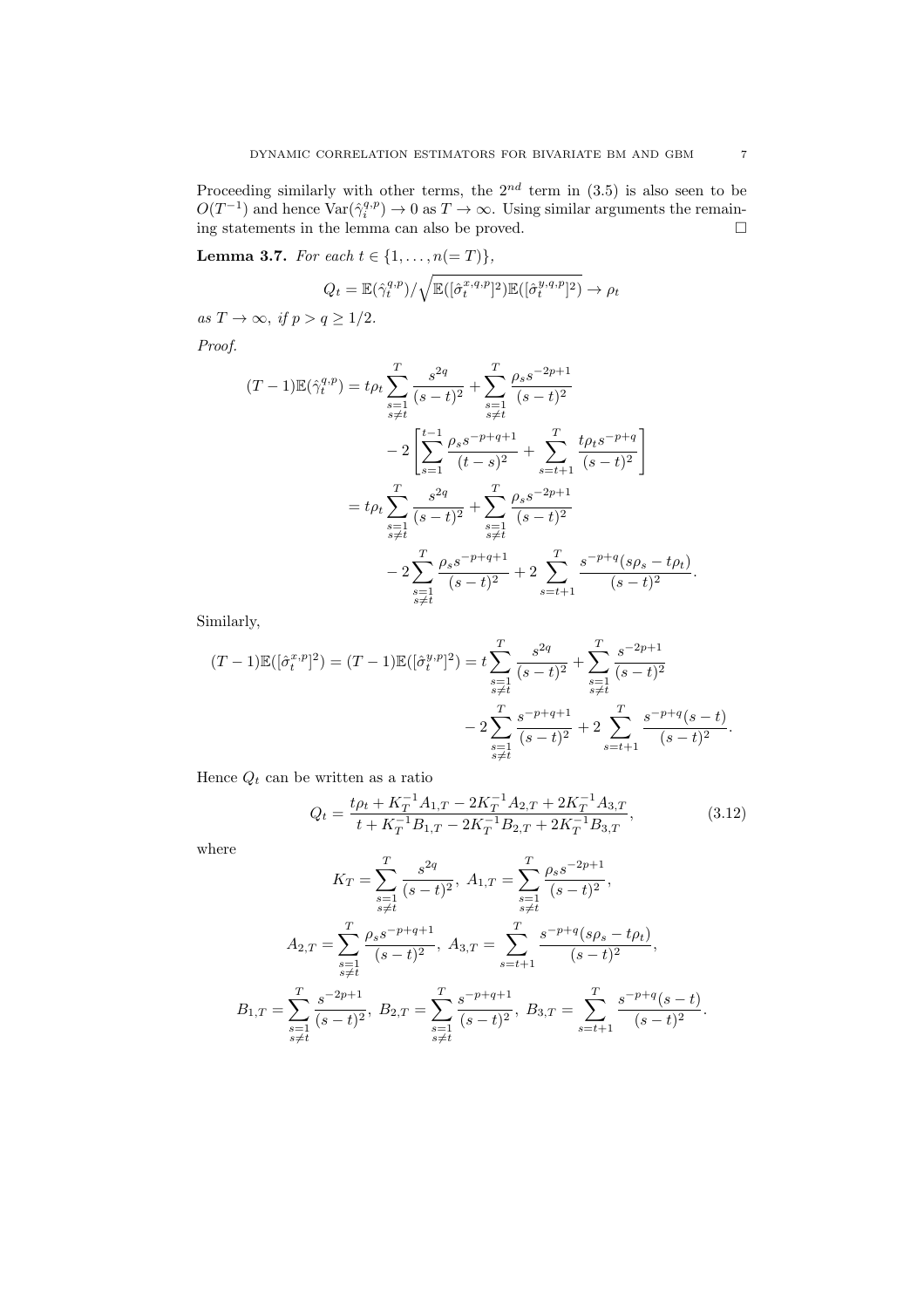Proceeding similarly with other terms, the  $2^{nd}$  term in  $(3.5)$  is also seen to be  $O(T^{-1})$  and hence  $\text{Var}(\hat{\gamma}_i^{q,p}) \to 0$  as  $T \to \infty$ . Using similar arguments the remaining statements in the lemma can also be proved.

**Lemma 3.7.** For each  $t \in \{1, ..., n(=T)\}\$ ,

$$
Q_t = \mathbb{E}(\hat{\gamma}_t^{q,p}) / \sqrt{\mathbb{E}([\hat{\sigma}_t^{x,q,p}]^2)\mathbb{E}([\hat{\sigma}_t^{y,q,p}]^2)} \to \rho_t
$$

as  $T \to \infty$ , if  $p > q \geq 1/2$ .

Proof.

$$
(T-1)\mathbb{E}(\hat{\gamma}_t^{q,p}) = t\rho_t \sum_{\substack{s=1 \ s \neq t}}^T \frac{s^{2q}}{(s-t)^2} + \sum_{\substack{s=1 \ s \neq t}}^T \frac{\rho_s s^{-2p+1}}{(s-t)^2} - 2\left[\sum_{s=1}^{t-1} \frac{\rho_s s^{-p+q+1}}{(t-s)^2} + \sum_{s=t+1}^T \frac{t\rho_t s^{-p+q}}{(s-t)^2}\right] = t\rho_t \sum_{\substack{s=1 \ s \neq t}}^T \frac{s^{2q}}{(s-t)^2} + \sum_{\substack{s=1 \ s \neq t}}^T \frac{\rho_s s^{-2p+1}}{(s-t)^2} - 2\sum_{\substack{s=1 \ s \neq t}}^T \frac{\rho_s s^{-p+q+1}}{(s-t)^2} + 2\sum_{\substack{s=t+1}}^T \frac{s^{-p+q}(s\rho_s - t\rho_t)}{(s-t)^2}.
$$

Similarly,

$$
(T-1)\mathbb{E}([\hat{\sigma}_t^{x,p}]^2) = (T-1)\mathbb{E}([\hat{\sigma}_t^{y,p}]^2) = t\sum_{\substack{s=1 \ s \neq t}}^T \frac{s^{2q}}{(s-t)^2} + \sum_{\substack{s=1 \ s \neq t}}^T \frac{s^{-2p+1}}{(s-t)^2} - 2\sum_{\substack{s=1 \ s \neq t}}^T \frac{s^{-p+q+1}}{(s-t)^2} + 2\sum_{\substack{s=t+1}}^T \frac{s^{-p+q}(s-t)}{(s-t)^2}.
$$

Hence  $Q_t$  can be written as a ratio

$$
Q_t = \frac{t\rho_t + K_T^{-1}A_{1,T} - 2K_T^{-1}A_{2,T} + 2K_T^{-1}A_{3,T}}{t + K_T^{-1}B_{1,T} - 2K_T^{-1}B_{2,T} + 2K_T^{-1}B_{3,T}},
$$
\n(3.12)

where

$$
K_{T} = \sum_{\substack{s=1 \ s \neq t}}^{T} \frac{s^{2q}}{(s-t)^{2}}, \ A_{1,T} = \sum_{\substack{s=1 \ s \neq t}}^{T} \frac{\rho_{s}s^{-2p+1}}{(s-t)^{2}},
$$

$$
A_{2,T} = \sum_{\substack{s=1 \ s \neq t}}^{T} \frac{\rho_{s}s^{-p+q+1}}{(s-t)^{2}}, \ A_{3,T} = \sum_{s=t+1}^{T} \frac{s^{-p+q}(s\rho_{s}-t\rho_{t})}{(s-t)^{2}},
$$

$$
B_{1,T} = \sum_{\substack{s=1 \ s \neq t}}^{T} \frac{s^{-2p+1}}{(s-t)^{2}}, \ B_{2,T} = \sum_{\substack{s=1 \ s \neq t}}^{T} \frac{s^{-p+q+1}}{(s-t)^{2}}, \ B_{3,T} = \sum_{s=t+1}^{T} \frac{s^{-p+q}(s-t)}{(s-t)^{2}}.
$$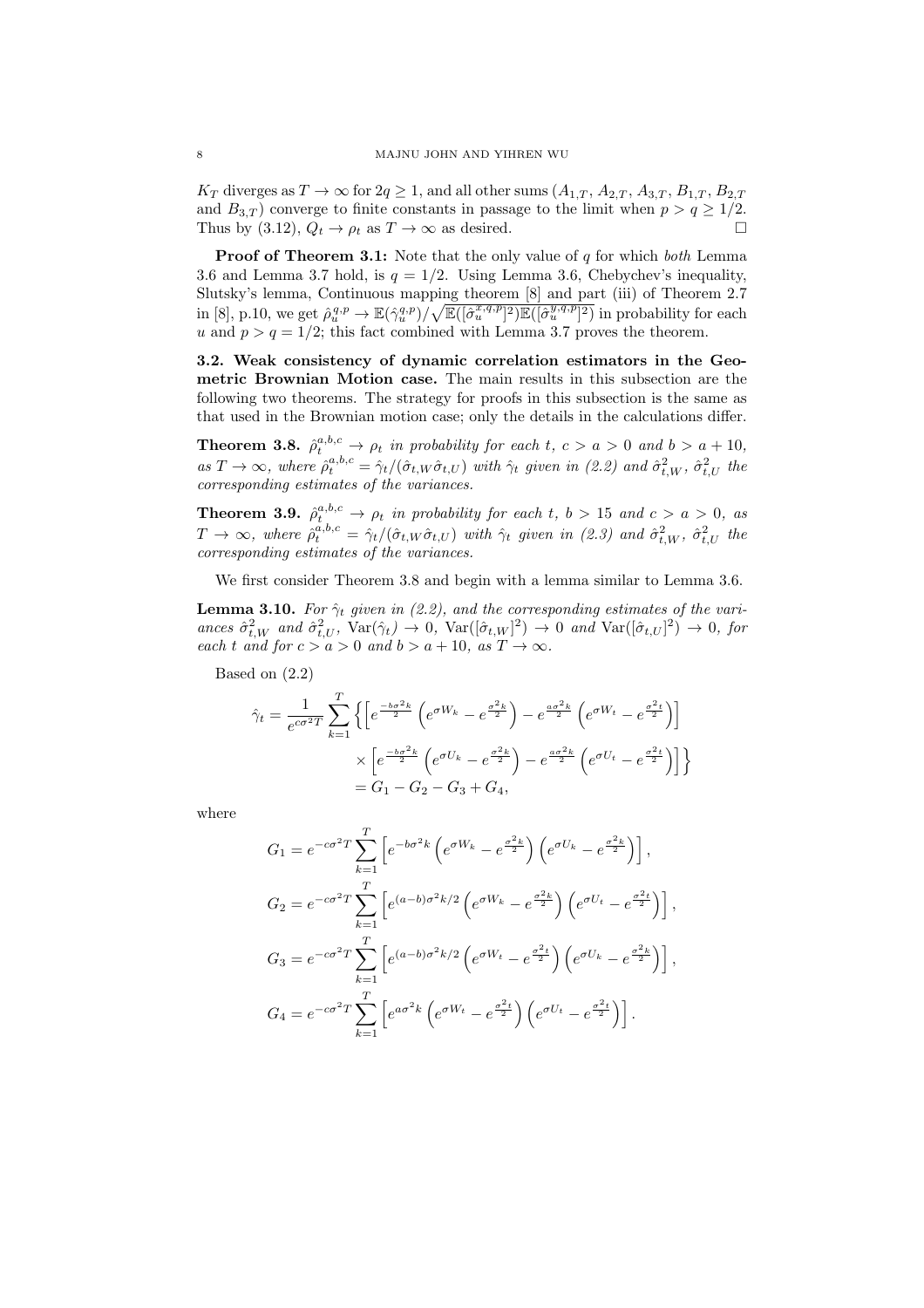$K_T$  diverges as  $T \to \infty$  for  $2q \ge 1$ , and all other sums  $(A_{1,T}, A_{2,T}, A_{3,T}, B_{1,T}, B_{2,T})$ and  $B_{3,T}$ ) converge to finite constants in passage to the limit when  $p > q \ge 1/2$ . Thus by (3.12),  $Q_t \rightarrow \rho_t$  as  $T \rightarrow \infty$  as desired.

**Proof of Theorem 3.1:** Note that the only value of  $q$  for which both Lemma 3.6 and Lemma 3.7 hold, is  $q = 1/2$ . Using Lemma 3.6, Chebychev's inequality, Slutsky's lemma, Continuous mapping theorem [8] and part (iii) of Theorem 2.7 in [8], p.10, we get  $\hat{\rho}_u^{q,p} \to \mathbb{E}(\hat{\gamma}_u^{q,p})/\sqrt{\mathbb{E}([\hat{\sigma}_u^{x,q,p}]^2)\mathbb{E}([\hat{\sigma}_u^{y,q,p}]^2)}$  in probability for each u and  $p > q = 1/2$ ; this fact combined with Lemma 3.7 proves the theorem.

3.2. Weak consistency of dynamic correlation estimators in the Geometric Brownian Motion case. The main results in this subsection are the following two theorems. The strategy for proofs in this subsection is the same as that used in the Brownian motion case; only the details in the calculations differ.

**Theorem 3.8.**  $\hat{\rho}_t^{a,b,c} \rightarrow \rho_t$  in probability for each t,  $c > a > 0$  and  $b > a + 10$ , as  $T \to \infty$ , where  $\hat{\rho}_t^{a,b,c} = \hat{\gamma}_t/(\hat{\sigma}_{t,W}\hat{\sigma}_{t,U})$  with  $\hat{\gamma}_t$  given in (2.2) and  $\hat{\sigma}_{t,W}^2$ ,  $\hat{\sigma}_{t,U}^2$  the corresponding estimates of the variances.

**Theorem 3.9.**  $\hat{\rho}_t^{a,b,c} \rightarrow \rho_t$  in probability for each t,  $b > 15$  and  $c > a > 0$ , as  $T \to \infty$ , where  $\hat{\rho}_t^{a,b,c} = \hat{\gamma}_t/(\hat{\sigma}_{t,W}\hat{\sigma}_{t,U})$  with  $\hat{\gamma}_t$  given in (2.3) and  $\hat{\sigma}_{t,W}^2$ ,  $\hat{\sigma}_{t,U}^2$  the corresponding estimates of the variances.

We first consider Theorem 3.8 and begin with a lemma similar to Lemma 3.6.

**Lemma 3.10.** For  $\hat{\gamma}_t$  given in (2.2), and the corresponding estimates of the variances  $\hat{\sigma}_{t,W}^2$  and  $\hat{\sigma}_{t,U}^2$ ,  $\text{Var}(\hat{\gamma}_t) \to 0$ ,  $\text{Var}([\hat{\sigma}_{t,W}]^2) \to 0$  and  $\text{Var}([\hat{\sigma}_{t,U}]^2) \to 0$ , for each t and for  $c > a > 0$  and  $b > a + 10$ , as  $T \to \infty$ .

Based on (2.2)

$$
\hat{\gamma}_t = \frac{1}{e^{c\sigma^2 T}} \sum_{k=1}^T \left\{ \left[ e^{\frac{-b\sigma^2 k}{2}} \left( e^{\sigma W_k} - e^{\frac{\sigma^2 k}{2}} \right) - e^{\frac{a\sigma^2 k}{2}} \left( e^{\sigma W_t} - e^{\frac{\sigma^2 t}{2}} \right) \right] \times \left[ e^{\frac{-b\sigma^2 k}{2}} \left( e^{\sigma U_k} - e^{\frac{\sigma^2 k}{2}} \right) - e^{\frac{a\sigma^2 k}{2}} \left( e^{\sigma U_t} - e^{\frac{\sigma^2 t}{2}} \right) \right] \right\}
$$
\n
$$
= G_1 - G_2 - G_3 + G_4,
$$

where

$$
G_1 = e^{-c\sigma^2 T} \sum_{k=1}^T \left[ e^{-b\sigma^2 k} \left( e^{\sigma W_k} - e^{\frac{\sigma^2 k}{2}} \right) \left( e^{\sigma U_k} - e^{\frac{\sigma^2 k}{2}} \right) \right],
$$
  
\n
$$
G_2 = e^{-c\sigma^2 T} \sum_{k=1}^T \left[ e^{(a-b)\sigma^2 k/2} \left( e^{\sigma W_k} - e^{\frac{\sigma^2 k}{2}} \right) \left( e^{\sigma U_t} - e^{\frac{\sigma^2 t}{2}} \right) \right],
$$
  
\n
$$
G_3 = e^{-c\sigma^2 T} \sum_{k=1}^T \left[ e^{(a-b)\sigma^2 k/2} \left( e^{\sigma W_t} - e^{\frac{\sigma^2 t}{2}} \right) \left( e^{\sigma U_k} - e^{\frac{\sigma^2 k}{2}} \right) \right],
$$
  
\n
$$
G_4 = e^{-c\sigma^2 T} \sum_{k=1}^T \left[ e^{a\sigma^2 k} \left( e^{\sigma W_t} - e^{\frac{\sigma^2 t}{2}} \right) \left( e^{\sigma U_t} - e^{\frac{\sigma^2 t}{2}} \right) \right].
$$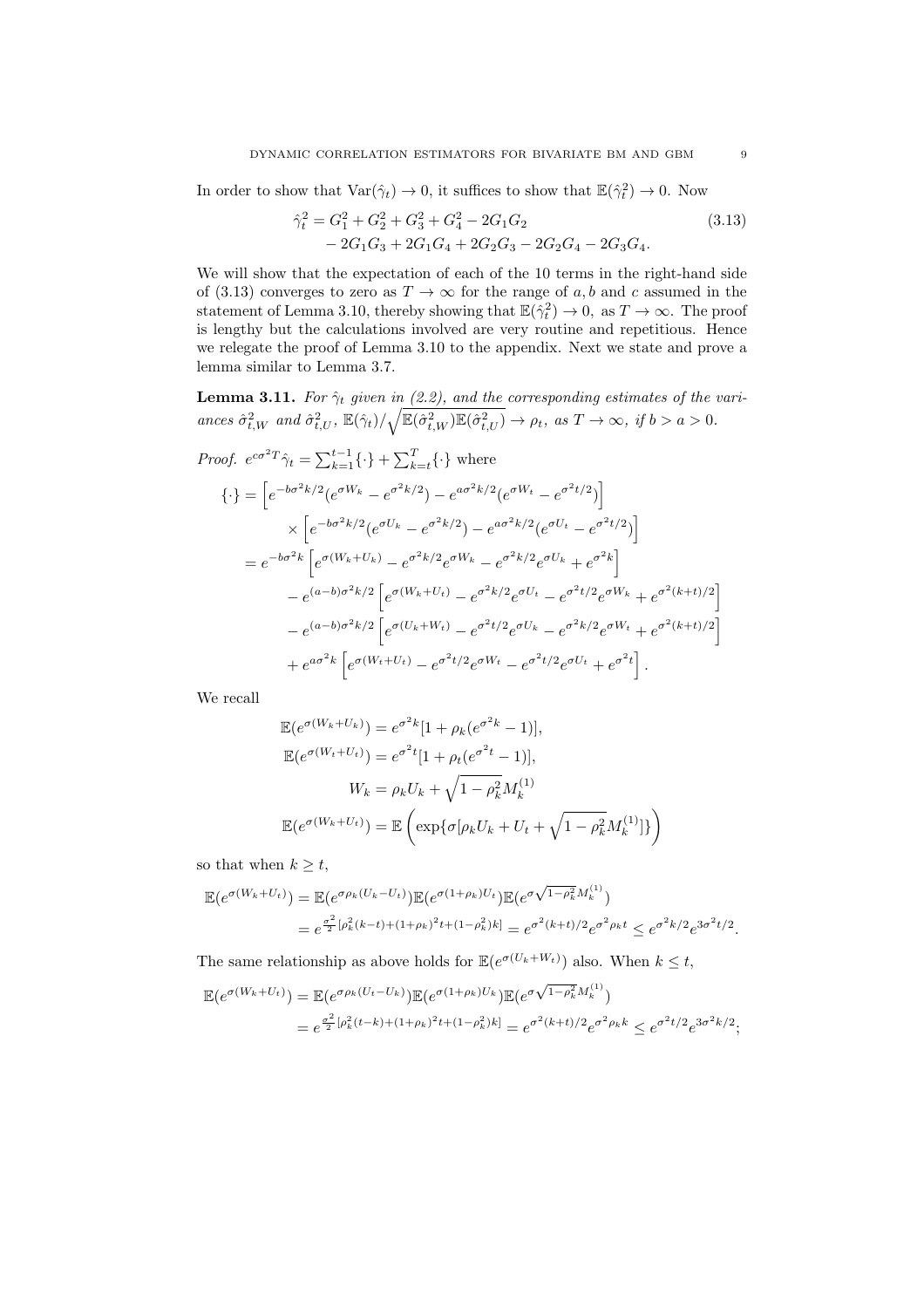In order to show that  $\text{Var}(\hat{\gamma}_t) \to 0$ , it suffices to show that  $\mathbb{E}(\hat{\gamma}_t^2) \to 0$ . Now

$$
\begin{aligned} \hat{\gamma}_t^2 &= G_1^2 + G_2^2 + G_3^2 + G_4^2 - 2G_1G_2\\ &- 2G_1G_3 + 2G_1G_4 + 2G_2G_3 - 2G_2G_4 - 2G_3G_4. \end{aligned} \tag{3.13}
$$

We will show that the expectation of each of the 10 terms in the right-hand side of (3.13) converges to zero as  $T \to \infty$  for the range of a, b and c assumed in the statement of Lemma 3.10, thereby showing that  $\mathbb{E}(\hat{\gamma}_t^2) \to 0$ , as  $T \to \infty$ . The proof is lengthy but the calculations involved are very routine and repetitious. Hence we relegate the proof of Lemma 3.10 to the appendix. Next we state and prove a lemma similar to Lemma 3.7.

**Lemma 3.11.** For  $\hat{\gamma}_t$  given in (2.2), and the corresponding estimates of the variances  $\hat{\sigma}_{t,W}^2$  and  $\hat{\sigma}_{t,U}^2$ ,  $\mathbb{E}(\hat{\gamma}_t)/\sqrt{\mathbb{E}(\hat{\sigma}_{t,W}^2)\mathbb{E}(\hat{\sigma}_{t,U}^2)} \rightarrow \rho_t$ , as  $T \rightarrow \infty$ , if  $b > a > 0$ .

Proof. 
$$
e^{c\sigma^2 T} \hat{\gamma}_t = \sum_{k=1}^{t-1} \{\cdot\} + \sum_{k=t}^{T} \{\cdot\}
$$
 where  
\n
$$
\{\cdot\} = \left[e^{-b\sigma^2 k/2} (e^{\sigma W_k} - e^{\sigma^2 k/2}) - e^{a\sigma^2 k/2} (e^{\sigma W_t} - e^{\sigma^2 t/2})\right]
$$
\n
$$
\times \left[e^{-b\sigma^2 k/2} (e^{\sigma U_k} - e^{\sigma^2 k/2}) - e^{a\sigma^2 k/2} (e^{\sigma U_t} - e^{\sigma^2 t/2})\right]
$$
\n
$$
= e^{-b\sigma^2 k} \left[e^{\sigma (W_k + U_k)} - e^{\sigma^2 k/2} e^{\sigma W_k} - e^{\sigma^2 k/2} e^{\sigma U_k} + e^{\sigma^2 k}\right]
$$
\n
$$
- e^{(a-b)\sigma^2 k/2} \left[e^{\sigma (W_k + U_t)} - e^{\sigma^2 k/2} e^{\sigma U_t} - e^{\sigma^2 t/2} e^{\sigma W_k} + e^{\sigma^2 (k+t)/2}\right]
$$
\n
$$
- e^{(a-b)\sigma^2 k/2} \left[e^{\sigma (U_k + W_t)} - e^{\sigma^2 t/2} e^{\sigma U_k} - e^{\sigma^2 k/2} e^{\sigma W_t} + e^{\sigma^2 (k+t)/2}\right]
$$
\n
$$
+ e^{a\sigma^2 k} \left[e^{\sigma (W_t + U_t)} - e^{\sigma^2 t/2} e^{\sigma W_t} - e^{\sigma^2 t/2} e^{\sigma U_t} + e^{\sigma^2 t}\right].
$$

We recall

$$
\mathbb{E}(e^{\sigma(W_k + U_k)}) = e^{\sigma^2 k} [1 + \rho_k (e^{\sigma^2 k} - 1)],
$$
  
\n
$$
\mathbb{E}(e^{\sigma(W_t + U_t)}) = e^{\sigma^2 t} [1 + \rho_t (e^{\sigma^2 t} - 1)],
$$
  
\n
$$
W_k = \rho_k U_k + \sqrt{1 - \rho_k^2} M_k^{(1)}
$$
  
\n
$$
\mathbb{E}(e^{\sigma(W_k + U_t)}) = \mathbb{E}\left(\exp\{\sigma[\rho_k U_k + U_t + \sqrt{1 - \rho_k^2} M_k^{(1)}]\}\right)
$$

so that when  $k \geq t$ ,

$$
\mathbb{E}(e^{\sigma(W_k+U_t)}) = \mathbb{E}(e^{\sigma \rho_k (U_k-U_t)}) \mathbb{E}(e^{\sigma(1+\rho_k)U_t}) \mathbb{E}(e^{\sigma \sqrt{1-\rho_k^2}M_k^{(1)}})
$$
  
=  $e^{\frac{\sigma^2}{2}[\rho_k^2(k-t)+(1+\rho_k)^2t+(1-\rho_k^2)k]} = e^{\sigma^2(k+t)/2} e^{\sigma^2 \rho_k t} \le e^{\sigma^2 k/2} e^{3\sigma^2 t/2}.$ 

The same relationship as above holds for  $\mathbb{E}(e^{\sigma(U_k+W_t)})$  also. When  $k \leq t$ ,

$$
\mathbb{E}(e^{\sigma(W_k+U_t)}) = \mathbb{E}(e^{\sigma \rho_k (U_t-U_k)}) \mathbb{E}(e^{\sigma(1+\rho_k)U_k}) \mathbb{E}(e^{\sigma\sqrt{1-\rho_k^2}M_k^{(1)}})
$$
  
=  $e^{\frac{\sigma^2}{2}[\rho_k^2(t-k)+(1+\rho_k)^2t+(1-\rho_k^2)k]} = e^{\sigma^2(k+t)/2} e^{\sigma^2 \rho_k k} \le e^{\sigma^2 t/2} e^{3\sigma^2 k/2};$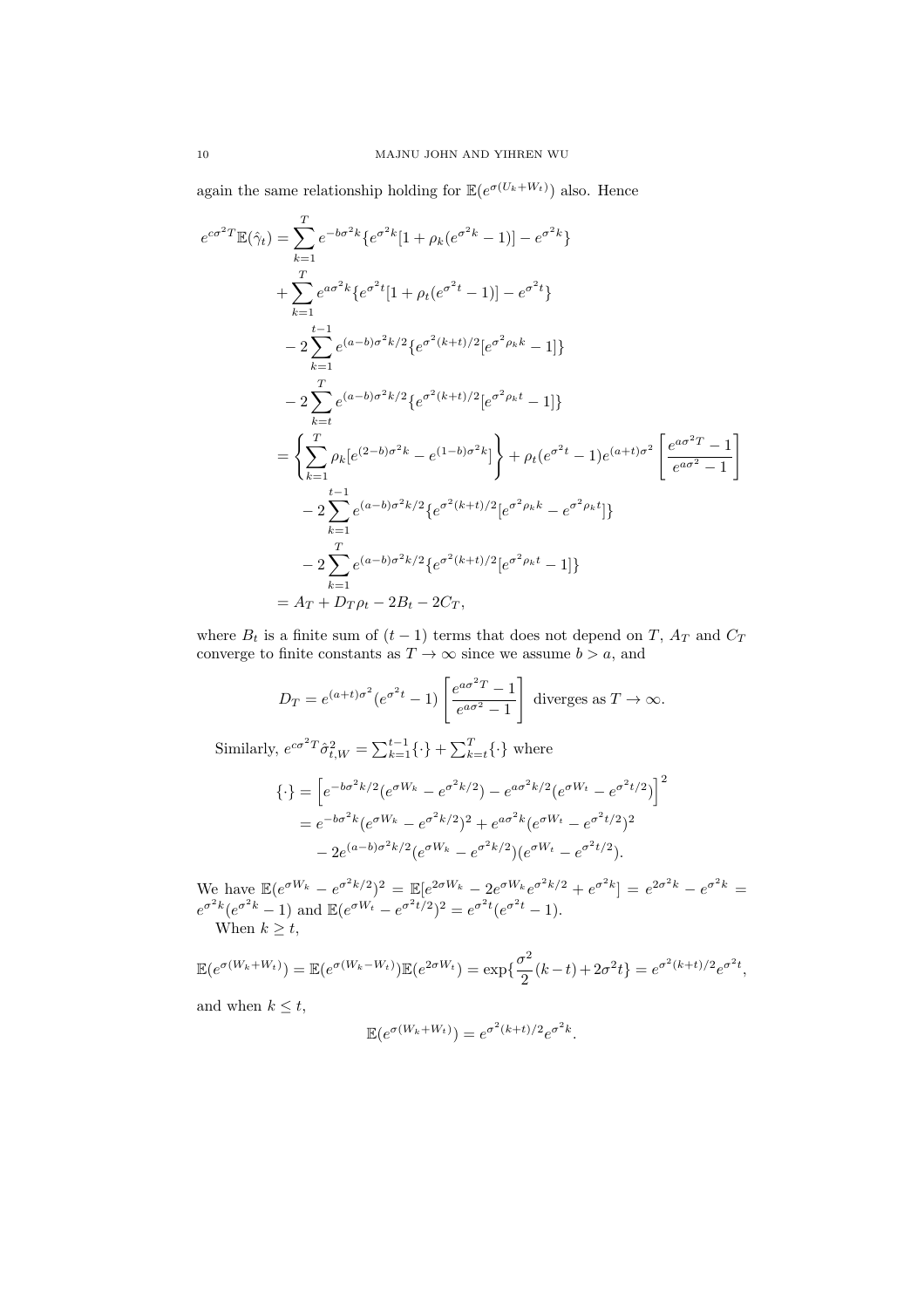again the same relationship holding for  $\mathbb{E}(e^{\sigma(U_k+W_t)})$  also. Hence

$$
e^{c\sigma^2 T} \mathbb{E}(\hat{\gamma}_t) = \sum_{k=1}^T e^{-b\sigma^2 k} \{ e^{\sigma^2 k} [1 + \rho_k (e^{\sigma^2 k} - 1)] - e^{\sigma^2 k} \}
$$
  
+ 
$$
\sum_{k=1}^T e^{a\sigma^2 k} \{ e^{\sigma^2 t} [1 + \rho_t (e^{\sigma^2 t} - 1)] - e^{\sigma^2 t} \}
$$
  
- 
$$
2 \sum_{k=1}^{t-1} e^{(a-b)\sigma^2 k/2} \{ e^{\sigma^2 (k+t)/2} [e^{\sigma^2 \rho_k k} - 1] \}
$$
  
- 
$$
2 \sum_{k=t}^T e^{(a-b)\sigma^2 k/2} \{ e^{\sigma^2 (k+t)/2} [e^{\sigma^2 \rho_k t} - 1] \}
$$
  
= 
$$
\left\{ \sum_{k=1}^T \rho_k [e^{(2-b)\sigma^2 k} - e^{(1-b)\sigma^2 k}] \right\} + \rho_t (e^{\sigma^2 t} - 1) e^{(a+t)\sigma^2} \left[ \frac{e^{a\sigma^2 T} - 1}{e^{a\sigma^2} - 1} \right]
$$
  
- 
$$
2 \sum_{k=1}^{t-1} e^{(a-b)\sigma^2 k/2} \{ e^{\sigma^2 (k+t)/2} [e^{\sigma^2 \rho_k k} - e^{\sigma^2 \rho_k t}] \}
$$
  
- 
$$
2 \sum_{k=1}^T e^{(a-b)\sigma^2 k/2} \{ e^{\sigma^2 (k+t)/2} [e^{\sigma^2 \rho_k t} - 1] \}
$$
  
= 
$$
A_T + D_T \rho_t - 2B_t - 2C_T,
$$

where  $B_t$  is a finite sum of  $(t-1)$  terms that does not depend on T,  $A_T$  and  $C_T$ converge to finite constants as  $T \to \infty$  since we assume  $b > a$ , and

$$
D_T = e^{(a+t)\sigma^2} (e^{\sigma^2 t} - 1) \left[ \frac{e^{a\sigma^2 T} - 1}{e^{a\sigma^2} - 1} \right] \text{ diverges as } T \to \infty.
$$

Similarly,  $e^{c\sigma^2 T} \hat{\sigma}_{t,W}^2 = \sum_{k=1}^{t-1} {\{\cdot\}} + \sum_{k=t}^{T} {\{\cdot\}}$  where

$$
\{\cdot\} = \left[e^{-b\sigma^2 k/2} (e^{\sigma W_k} - e^{\sigma^2 k/2}) - e^{a\sigma^2 k/2} (e^{\sigma W_t} - e^{\sigma^2 t/2})\right]^2
$$
  
=  $e^{-b\sigma^2 k} (e^{\sigma W_k} - e^{\sigma^2 k/2})^2 + e^{a\sigma^2 k} (e^{\sigma W_t} - e^{\sigma^2 t/2})^2$   
-  $2e^{(a-b)\sigma^2 k/2} (e^{\sigma W_k} - e^{\sigma^2 k/2}) (e^{\sigma W_t} - e^{\sigma^2 t/2}).$ 

We have  $\mathbb{E}(e^{\sigma W_k} - e^{\sigma^2 k/2})^2 = \mathbb{E}[e^{2\sigma W_k} - 2e^{\sigma W_k}e^{\sigma^2 k/2} + e^{\sigma^2 k}] = e^{2\sigma^2 k} - e^{\sigma^2 k} =$  $e^{\sigma^2 k} (e^{\sigma^2 k} - 1)$  and  $\mathbb{E} (e^{\sigma W_t} - e^{\sigma^2 t/2})^2 = e^{\sigma^2 t} (e^{\sigma^2 t} - 1).$ When  $k > t$ ,

$$
\mathbb{E}(e^{\sigma(W_k + W_t)}) = \mathbb{E}(e^{\sigma(W_k - W_t)})\mathbb{E}(e^{2\sigma W_t}) = \exp\{\frac{\sigma^2}{2}(k-t) + 2\sigma^2t\} = e^{\sigma^2(k+t)/2}e^{\sigma^2t},
$$

and when  $k \leq t$ ,

$$
\mathbb{E}(e^{\sigma(W_k+W_t)})=e^{\sigma^2(k+t)/2}e^{\sigma^2k}.
$$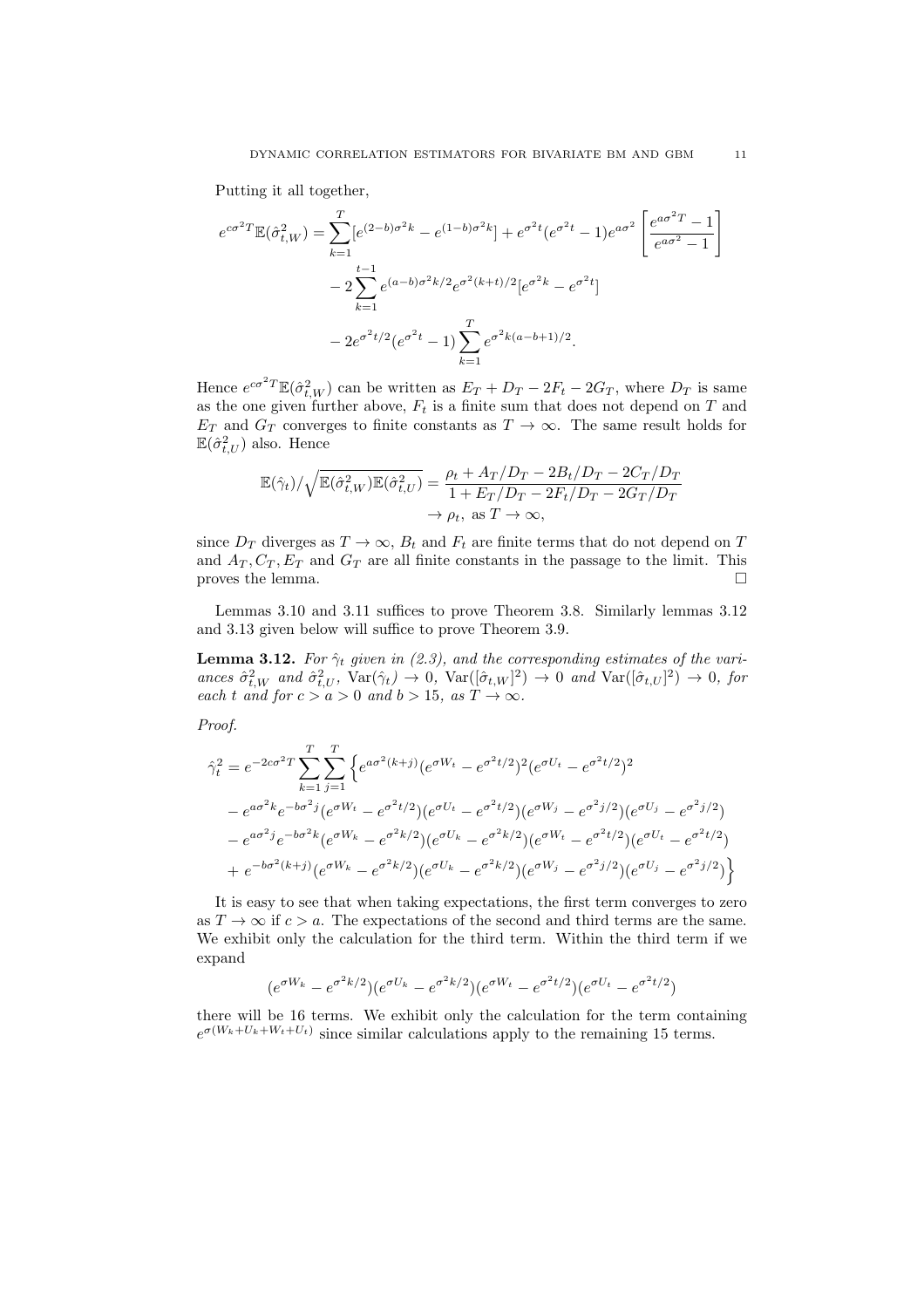Putting it all together,

$$
e^{c\sigma^2 T} \mathbb{E}(\hat{\sigma}_{t,W}^2) = \sum_{k=1}^T [e^{(2-b)\sigma^2 k} - e^{(1-b)\sigma^2 k}] + e^{\sigma^2 t} (e^{\sigma^2 t} - 1) e^{a\sigma^2} \left[ \frac{e^{a\sigma^2 T} - 1}{e^{a\sigma^2} - 1} \right]
$$
  

$$
- 2 \sum_{k=1}^{t-1} e^{(a-b)\sigma^2 k/2} e^{\sigma^2 (k+t)/2} [e^{\sigma^2 k} - e^{\sigma^2 t}]
$$
  

$$
- 2e^{\sigma^2 t/2} (e^{\sigma^2 t} - 1) \sum_{k=1}^T e^{\sigma^2 k (a-b+1)/2}.
$$

Hence  $e^{c\sigma^2 T} \mathbb{E}(\hat{\sigma}_{t,W}^2)$  can be written as  $E_T + D_T - 2F_t - 2G_T$ , where  $D_T$  is same as the one given further above,  $F_t$  is a finite sum that does not depend on T and  $E_T$  and  $G_T$  converges to finite constants as  $T \to \infty$ . The same result holds for  $\mathbb{E}(\hat{\sigma}_{t,U}^2)$  also. Hence

$$
\mathbb{E}(\hat{\gamma}_t)/\sqrt{\mathbb{E}(\hat{\sigma}_{t,W}^2)\mathbb{E}(\hat{\sigma}_{t,U}^2)} = \frac{\rho_t + A_T/D_T - 2B_t/D_T - 2C_T/D_T}{1 + E_T/D_T - 2F_t/D_T - 2G_T/D_T} \n\to \rho_t, \text{ as } T \to \infty,
$$

since  $D_T$  diverges as  $T \to \infty$ ,  $B_t$  and  $F_t$  are finite terms that do not depend on T and  $A_T, C_T, E_T$  and  $G_T$  are all finite constants in the passage to the limit. This proves the lemma.  $\Box$ 

Lemmas 3.10 and 3.11 suffices to prove Theorem 3.8. Similarly lemmas 3.12 and 3.13 given below will suffice to prove Theorem 3.9.

**Lemma 3.12.** For  $\hat{\gamma}_t$  given in (2.3), and the corresponding estimates of the variances  $\hat{\sigma}_{t,W}^2$  and  $\hat{\sigma}_{t,U}^2$ ,  $\text{Var}(\hat{\gamma}_t) \to 0$ ,  $\text{Var}([\hat{\sigma}_{t,W}]^2) \to 0$  and  $\text{Var}([\hat{\sigma}_{t,U}]^2) \to 0$ , for each t and for  $c > a > 0$  and  $b > 15$ , as  $T \to \infty$ .

Proof.

$$
\hat{\gamma}_t^2 = e^{-2c\sigma^2 T} \sum_{k=1}^T \sum_{j=1}^T \left\{ e^{a\sigma^2(k+j)} (e^{\sigma W_t} - e^{\sigma^2 t/2})^2 (e^{\sigma U_t} - e^{\sigma^2 t/2})^2 - e^{a\sigma^2 k} e^{-b\sigma^2 j} (e^{\sigma W_t} - e^{\sigma^2 t/2}) (e^{\sigma U_t} - e^{\sigma^2 t/2}) (e^{\sigma W_j} - e^{\sigma^2 j/2}) (e^{\sigma U_j} - e^{\sigma^2 j/2}) - e^{a\sigma^2 j} e^{-b\sigma^2 k} (e^{\sigma W_k} - e^{\sigma^2 k/2}) (e^{\sigma U_k} - e^{\sigma^2 k/2}) (e^{\sigma W_t} - e^{\sigma^2 t/2}) (e^{\sigma U_t} - e^{\sigma^2 t/2}) + e^{-b\sigma^2 (k+j)} (e^{\sigma W_k} - e^{\sigma^2 k/2}) (e^{\sigma U_k} - e^{\sigma^2 k/2}) (e^{\sigma W_j} - e^{\sigma^2 j/2}) (e^{\sigma U_j} - e^{\sigma^2 j/2}) \right\}
$$

It is easy to see that when taking expectations, the first term converges to zero as  $T \to \infty$  if  $c > a$ . The expectations of the second and third terms are the same. We exhibit only the calculation for the third term. Within the third term if we expand

$$
(e^{\sigma W_k} - e^{\sigma^2 k/2})(e^{\sigma U_k} - e^{\sigma^2 k/2})(e^{\sigma W_t} - e^{\sigma^2 t/2})(e^{\sigma U_t} - e^{\sigma^2 t/2})
$$

there will be 16 terms. We exhibit only the calculation for the term containing  $e^{\sigma(W_k+U_k+W_t+U_t)}$  since similar calculations apply to the remaining 15 terms.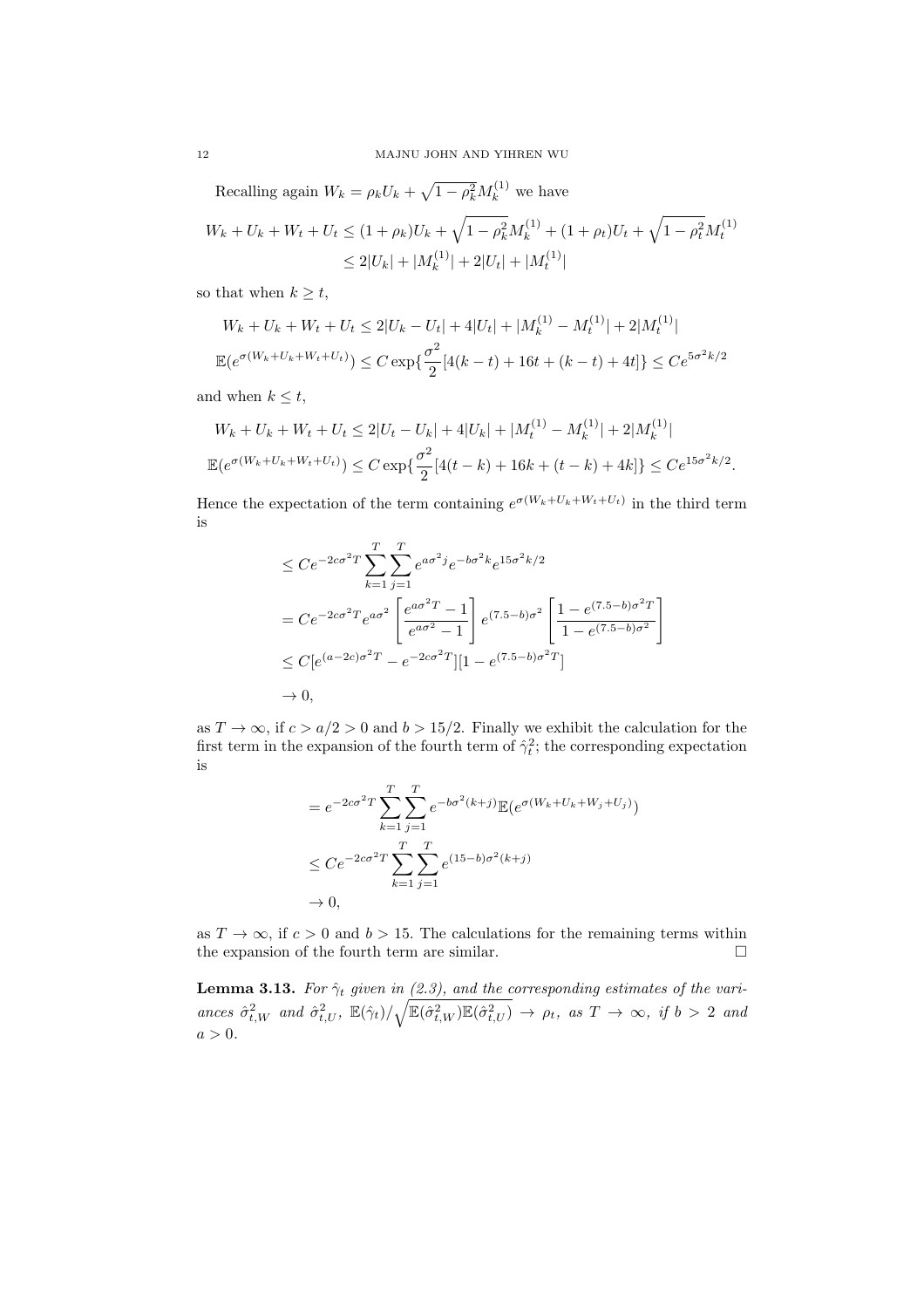Recalling again  $W_k = \rho_k U_k + \sqrt{1 - \rho_k^2} M_k^{(1)}$  we have

$$
W_k + U_k + W_t + U_t \le (1 + \rho_k)U_k + \sqrt{1 - \rho_k^2}M_k^{(1)} + (1 + \rho_t)U_t + \sqrt{1 - \rho_t^2}M_t^{(1)}
$$
  

$$
\le 2|U_k| + |M_k^{(1)}| + 2|U_t| + |M_t^{(1)}|
$$

so that when  $k \geq t$ ,

$$
W_k + U_k + W_t + U_t \le 2|U_k - U_t| + 4|U_t| + |M_k^{(1)} - M_t^{(1)}| + 2|M_t^{(1)}|
$$
  

$$
\mathbb{E}(e^{\sigma(W_k + U_k + W_t + U_t)}) \le C \exp\{\frac{\sigma^2}{2}[4(k - t) + 16t + (k - t) + 4t]\} \le Ce^{5\sigma^2 k/2}
$$

and when  $k \leq t$ ,

$$
W_k + U_k + W_t + U_t \le 2|U_t - U_k| + 4|U_k| + |M_t^{(1)} - M_k^{(1)}| + 2|M_k^{(1)}|
$$
  

$$
\mathbb{E}(e^{\sigma(W_k + U_k + W_t + U_t)}) \le C \exp\{\frac{\sigma^2}{2}[4(t - k) + 16k + (t - k) + 4k]\} \le Ce^{15\sigma^2k/2}.
$$

Hence the expectation of the term containing  $e^{\sigma(W_k+U_k+W_t+U_t)}$  in the third term is

$$
\leq Ce^{-2c\sigma^2 T} \sum_{k=1}^T \sum_{j=1}^T e^{a\sigma^2 j} e^{-b\sigma^2 k} e^{15\sigma^2 k/2}
$$
  
= 
$$
Ce^{-2c\sigma^2 T} e^{a\sigma^2} \left[ \frac{e^{a\sigma^2 T} - 1}{e^{a\sigma^2} - 1} \right] e^{(7.5-b)\sigma^2} \left[ \frac{1 - e^{(7.5-b)\sigma^2 T}}{1 - e^{(7.5-b)\sigma^2}} \right]
$$
  

$$
\leq C \left[ e^{(a-2c)\sigma^2 T} - e^{-2c\sigma^2 T} \right] \left[ 1 - e^{(7.5-b)\sigma^2 T} \right]
$$
  

$$
\to 0,
$$

as  $T \to \infty$ , if  $c > a/2 > 0$  and  $b > 15/2$ . Finally we exhibit the calculation for the first term in the expansion of the fourth term of  $\hat{\gamma}_t^2$ ; the corresponding expectation is

$$
= e^{-2c\sigma^2 T} \sum_{k=1}^{T} \sum_{j=1}^{T} e^{-b\sigma^2(k+j)} \mathbb{E}(e^{\sigma(W_k + U_k + W_j + U_j)})
$$
  
\n
$$
\leq C e^{-2c\sigma^2 T} \sum_{k=1}^{T} \sum_{j=1}^{T} e^{(15-b)\sigma^2(k+j)}
$$
  
\n
$$
\to 0,
$$

as  $T \to \infty$ , if  $c > 0$  and  $b > 15$ . The calculations for the remaining terms within the expansion of the fourth term are similar.  $\hfill \Box$ 

**Lemma 3.13.** For  $\hat{\gamma}_t$  given in (2.3), and the corresponding estimates of the variances  $\hat{\sigma}_{t,W}^2$  and  $\hat{\sigma}_{t,U}^2$ ,  $\mathbb{E}(\hat{\gamma}_t)/\sqrt{\mathbb{E}(\hat{\sigma}_{t,W}^2)\mathbb{E}(\hat{\sigma}_{t,U}^2)} \rightarrow \rho_t$ , as  $T \rightarrow \infty$ , if  $b > 2$  and  $a > 0$ .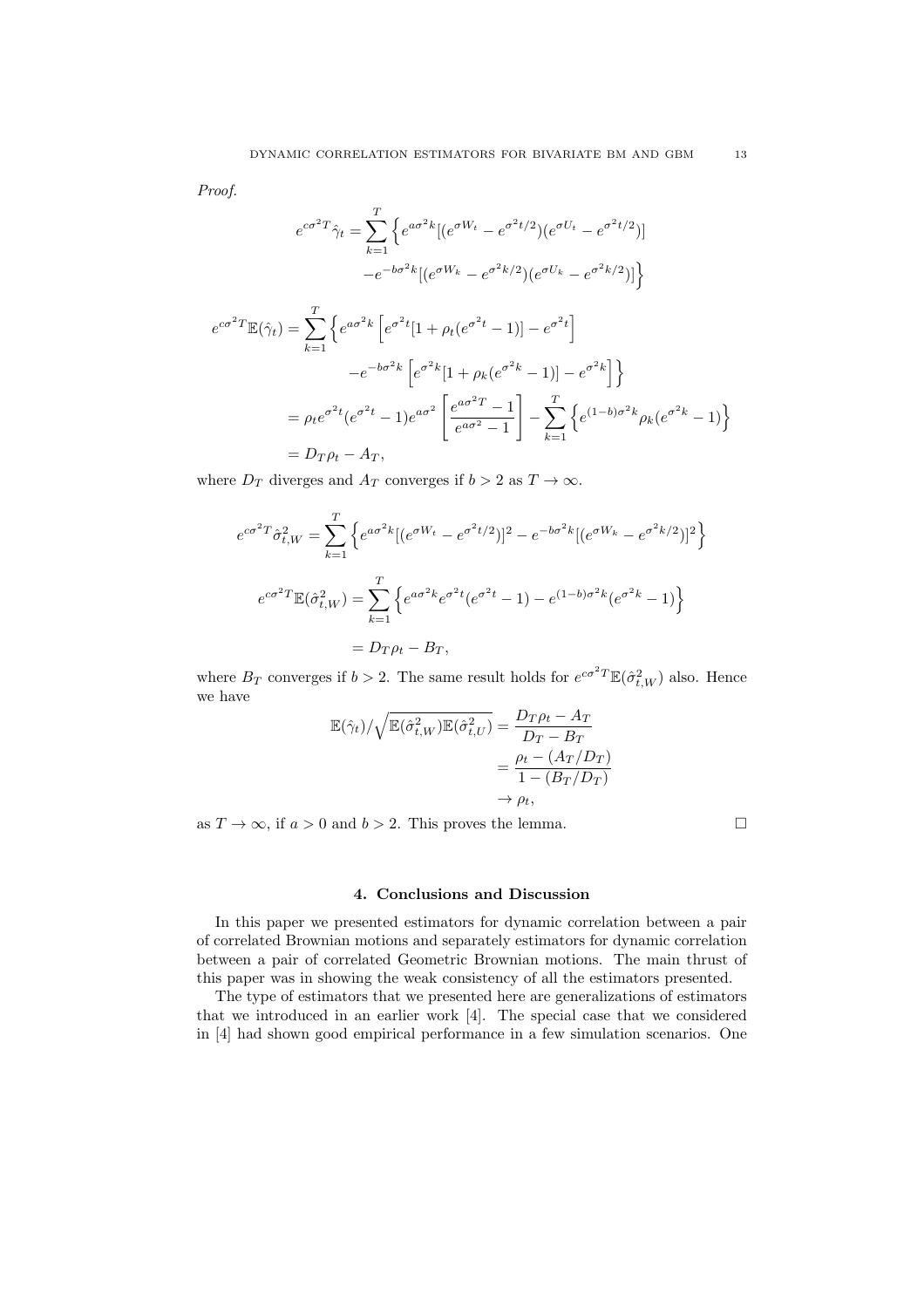Proof.

$$
e^{c\sigma^2 T} \hat{\gamma}_t = \sum_{k=1}^T \left\{ e^{a\sigma^2 k} [(e^{\sigma W_t} - e^{\sigma^2 t/2}) (e^{\sigma U_t} - e^{\sigma^2 t/2})] - e^{-b\sigma^2 k} [(e^{\sigma W_k} - e^{\sigma^2 k/2}) (e^{\sigma U_k} - e^{\sigma^2 k/2})] \right\}
$$
  

$$
e^{c\sigma^2 T} \mathbb{E}(\hat{\gamma}_t) = \sum_{k=1}^T \left\{ e^{a\sigma^2 k} \left[ e^{\sigma^2 t} [1 + \rho_t (e^{\sigma^2 t} - 1)] - e^{\sigma^2 t} \right] - e^{-b\sigma^2 k} \left[ e^{\sigma^2 k} [1 + \rho_k (e^{\sigma^2 k} - 1)] - e^{\sigma^2 k} \right] \right\}
$$
  

$$
= \rho_t e^{\sigma^2 t} (e^{\sigma^2 t} - 1) e^{a\sigma^2} \left[ \frac{e^{a\sigma^2 T} - 1}{e^{a\sigma^2} - 1} \right] - \sum_{k=1}^T \left\{ e^{(1-b)\sigma^2 k} \rho_k (e^{\sigma^2 k} - 1) \right\}
$$
  

$$
= D_T \rho_t - A_T,
$$

where  $D_T$  diverges and  $A_T$  converges if  $b > 2$  as  $T \to \infty$ .

$$
e^{c\sigma^2 T} \hat{\sigma}_{t,W}^2 = \sum_{k=1}^T \left\{ e^{a\sigma^2 k} [(e^{\sigma W_t} - e^{\sigma^2 t/2})]^2 - e^{-b\sigma^2 k} [(e^{\sigma W_k} - e^{\sigma^2 k/2})]^2 \right\}
$$
  

$$
e^{c\sigma^2 T} \mathbb{E}(\hat{\sigma}_{t,W}^2) = \sum_{k=1}^T \left\{ e^{a\sigma^2 k} e^{\sigma^2 t} (e^{\sigma^2 t} - 1) - e^{(1-b)\sigma^2 k} (e^{\sigma^2 k} - 1) \right\}
$$
  

$$
= D_T \rho_t - B_T,
$$

where  $B_T$  converges if  $b > 2$ . The same result holds for  $e^{c\sigma^2 T} \mathbb{E}(\hat{\sigma}_{t,W}^2)$  also. Hence we have

$$
\mathbb{E}(\hat{\gamma}_t) / \sqrt{\mathbb{E}(\hat{\sigma}_{t,W}^2)\mathbb{E}(\hat{\sigma}_{t,U}^2)} = \frac{D_T \rho_t - A_T}{D_T - B_T}
$$

$$
= \frac{\rho_t - (A_T/D_T)}{1 - (B_T/D_T)}
$$

$$
\rightarrow \rho_t,
$$

as  $T \to \infty$ , if  $a > 0$  and  $b > 2$ . This proves the lemma.

#### 4. Conclusions and Discussion

In this paper we presented estimators for dynamic correlation between a pair of correlated Brownian motions and separately estimators for dynamic correlation between a pair of correlated Geometric Brownian motions. The main thrust of this paper was in showing the weak consistency of all the estimators presented.

The type of estimators that we presented here are generalizations of estimators that we introduced in an earlier work [4]. The special case that we considered in [4] had shown good empirical performance in a few simulation scenarios. One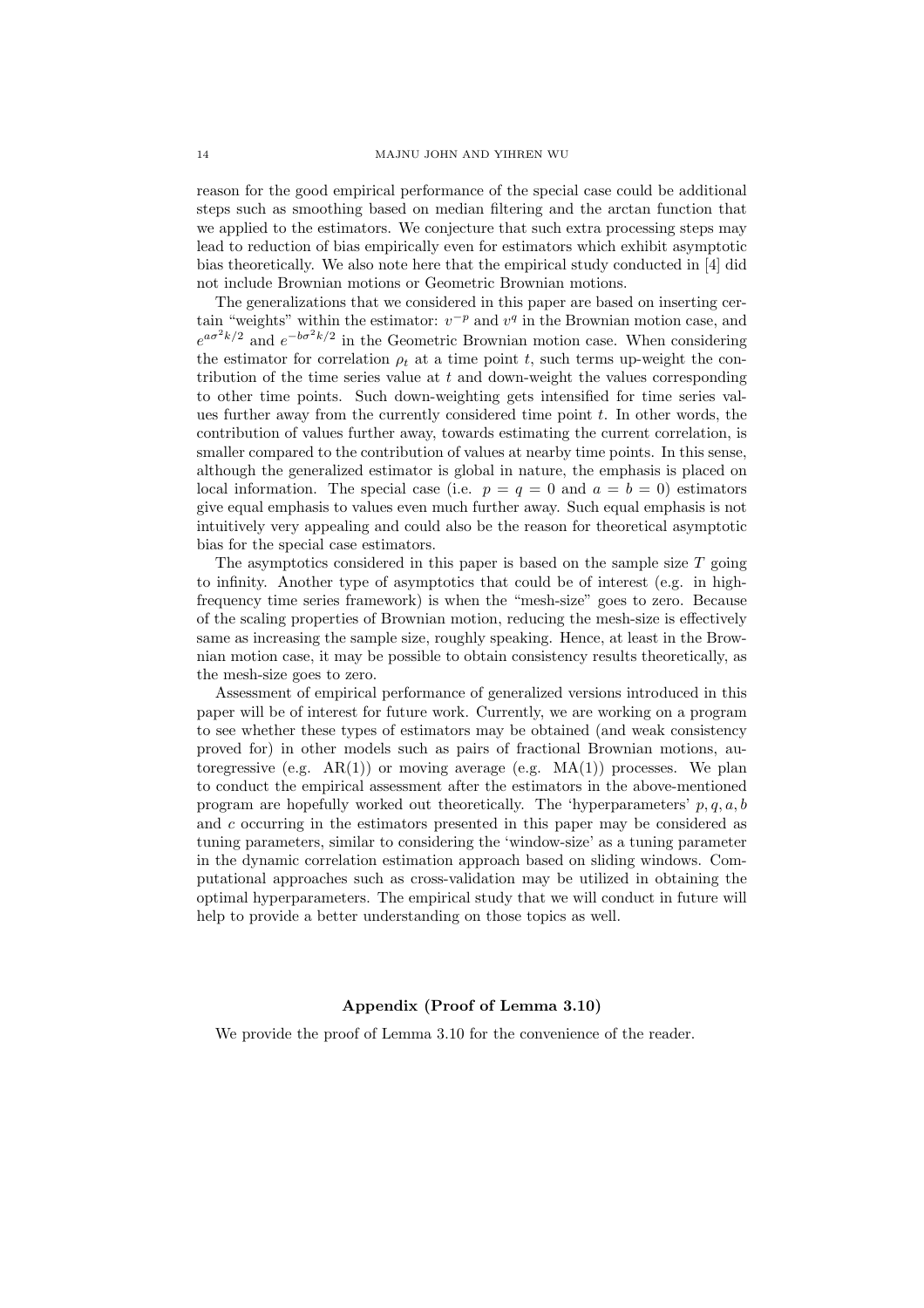reason for the good empirical performance of the special case could be additional steps such as smoothing based on median filtering and the arctan function that we applied to the estimators. We conjecture that such extra processing steps may lead to reduction of bias empirically even for estimators which exhibit asymptotic bias theoretically. We also note here that the empirical study conducted in [4] did not include Brownian motions or Geometric Brownian motions.

The generalizations that we considered in this paper are based on inserting certain "weights" within the estimator:  $v^{-p}$  and  $v^{q}$  in the Brownian motion case, and  $e^{a\sigma^2k/2}$  and  $e^{-b\sigma^2k/2}$  in the Geometric Brownian motion case. When considering the estimator for correlation  $\rho_t$  at a time point t, such terms up-weight the contribution of the time series value at  $t$  and down-weight the values corresponding to other time points. Such down-weighting gets intensified for time series values further away from the currently considered time point  $t$ . In other words, the contribution of values further away, towards estimating the current correlation, is smaller compared to the contribution of values at nearby time points. In this sense, although the generalized estimator is global in nature, the emphasis is placed on local information. The special case (i.e.  $p = q = 0$  and  $a = b = 0$ ) estimators give equal emphasis to values even much further away. Such equal emphasis is not intuitively very appealing and could also be the reason for theoretical asymptotic bias for the special case estimators.

The asymptotics considered in this paper is based on the sample size  $T$  going to infinity. Another type of asymptotics that could be of interest (e.g. in highfrequency time series framework) is when the "mesh-size" goes to zero. Because of the scaling properties of Brownian motion, reducing the mesh-size is effectively same as increasing the sample size, roughly speaking. Hence, at least in the Brownian motion case, it may be possible to obtain consistency results theoretically, as the mesh-size goes to zero.

Assessment of empirical performance of generalized versions introduced in this paper will be of interest for future work. Currently, we are working on a program to see whether these types of estimators may be obtained (and weak consistency proved for) in other models such as pairs of fractional Brownian motions, autoregressive (e.g.  $AR(1)$ ) or moving average (e.g.  $MA(1)$ ) processes. We plan to conduct the empirical assessment after the estimators in the above-mentioned program are hopefully worked out theoretically. The 'hyperparameters'  $p, q, a, b$ and c occurring in the estimators presented in this paper may be considered as tuning parameters, similar to considering the 'window-size' as a tuning parameter in the dynamic correlation estimation approach based on sliding windows. Computational approaches such as cross-validation may be utilized in obtaining the optimal hyperparameters. The empirical study that we will conduct in future will help to provide a better understanding on those topics as well.

#### Appendix (Proof of Lemma 3.10)

We provide the proof of Lemma 3.10 for the convenience of the reader.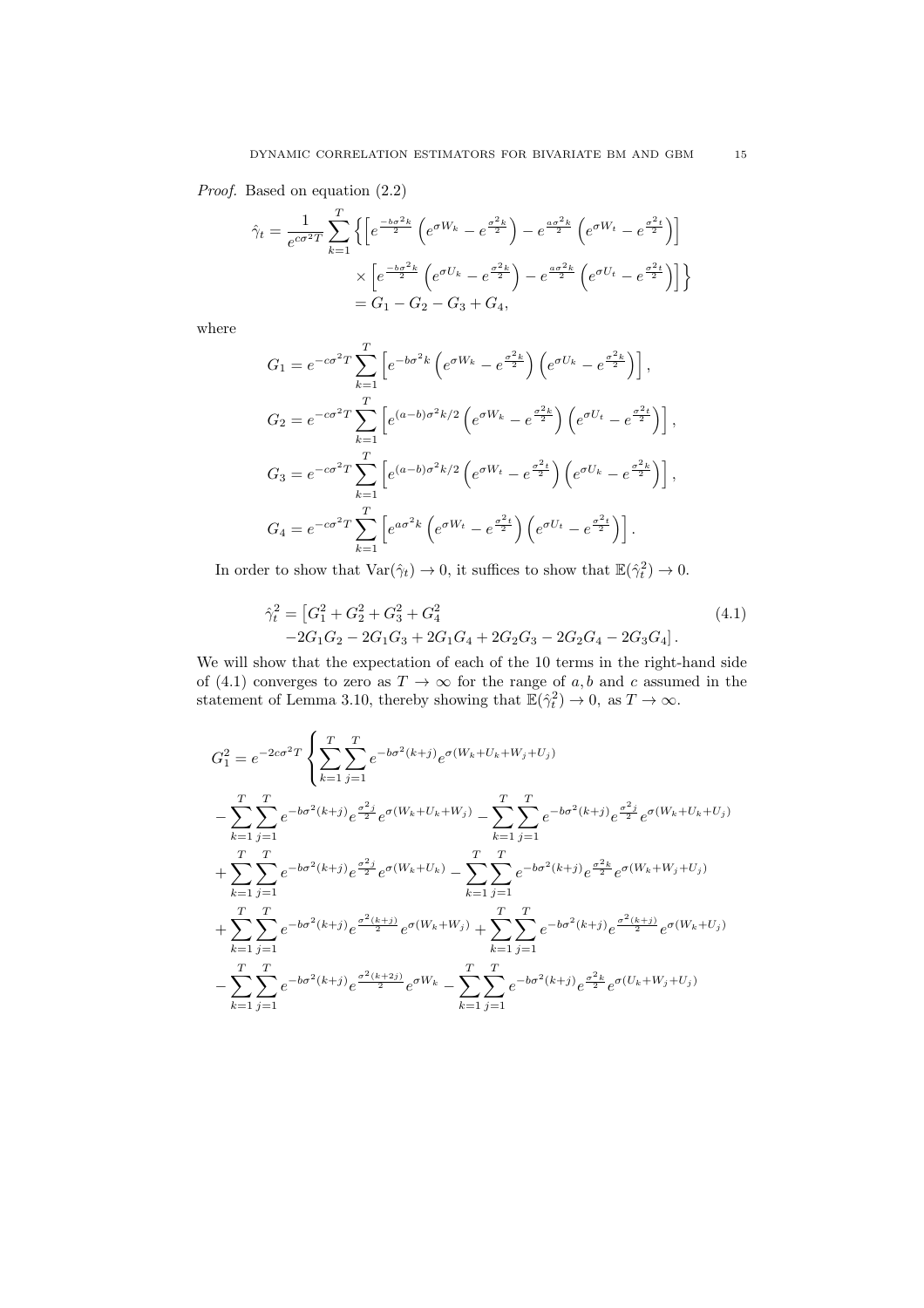Proof. Based on equation (2.2)

$$
\hat{\gamma}_t = \frac{1}{e^{c\sigma^2 T}} \sum_{k=1}^T \left\{ \left[ e^{\frac{-b\sigma^2 k}{2}} \left( e^{\sigma W_k} - e^{\frac{\sigma^2 k}{2}} \right) - e^{\frac{a\sigma^2 k}{2}} \left( e^{\sigma W_t} - e^{\frac{\sigma^2 t}{2}} \right) \right] \times \left[ e^{\frac{-b\sigma^2 k}{2}} \left( e^{\sigma U_k} - e^{\frac{\sigma^2 k}{2}} \right) - e^{\frac{a\sigma^2 k}{2}} \left( e^{\sigma U_t} - e^{\frac{\sigma^2 t}{2}} \right) \right] \right\}
$$
\n
$$
= G_1 - G_2 - G_3 + G_4,
$$

where

$$
G_1 = e^{-c\sigma^2 T} \sum_{k=1}^T \left[ e^{-b\sigma^2 k} \left( e^{\sigma W_k} - e^{\frac{\sigma^2 k}{2}} \right) \left( e^{\sigma U_k} - e^{\frac{\sigma^2 k}{2}} \right) \right],
$$
  
\n
$$
G_2 = e^{-c\sigma^2 T} \sum_{k=1}^T \left[ e^{(a-b)\sigma^2 k/2} \left( e^{\sigma W_k} - e^{\frac{\sigma^2 k}{2}} \right) \left( e^{\sigma U_t} - e^{\frac{\sigma^2 t}{2}} \right) \right],
$$
  
\n
$$
G_3 = e^{-c\sigma^2 T} \sum_{k=1}^T \left[ e^{(a-b)\sigma^2 k/2} \left( e^{\sigma W_t} - e^{\frac{\sigma^2 t}{2}} \right) \left( e^{\sigma U_t} - e^{\frac{\sigma^2 k}{2}} \right) \right],
$$
  
\n
$$
G_4 = e^{-c\sigma^2 T} \sum_{k=1}^T \left[ e^{a\sigma^2 k} \left( e^{\sigma W_t} - e^{\frac{\sigma^2 t}{2}} \right) \left( e^{\sigma U_t} - e^{\frac{\sigma^2 t}{2}} \right) \right].
$$

In order to show that  $\text{Var}(\hat{\gamma}_t) \to 0$ , it suffices to show that  $\mathbb{E}(\hat{\gamma}_t^2) \to 0$ .

$$
\hat{\gamma}_t^2 = [G_1^2 + G_2^2 + G_3^2 + G_4^2
$$
\n
$$
-2G_1G_2 - 2G_1G_3 + 2G_1G_4 + 2G_2G_3 - 2G_2G_4 - 2G_3G_4].
$$
\n(4.1)

We will show that the expectation of each of the 10 terms in the right-hand side of (4.1) converges to zero as  $T \to \infty$  for the range of a, b and c assumed in the statement of Lemma 3.10, thereby showing that  $\mathbb{E}(\hat{\gamma}_t^2) \to 0$ , as  $T \to \infty$ .

$$
G_{1}^{2} = e^{-2c\sigma^{2}T} \left\{ \sum_{k=1}^{T} \sum_{j=1}^{T} e^{-b\sigma^{2}(k+j)} e^{\sigma(W_{k}+U_{k}+W_{j}+U_{j})} - \sum_{k=1}^{T} \sum_{j=1}^{T} e^{-b\sigma^{2}(k+j)} e^{\frac{\sigma^{2}j}{2}} e^{\sigma(W_{k}+U_{k}+W_{j})} - \sum_{k=1}^{T} \sum_{j=1}^{T} e^{-b\sigma^{2}(k+j)} e^{\frac{\sigma^{2}j}{2}} e^{\sigma(W_{k}+U_{k}+U_{j})} + \sum_{k=1}^{T} \sum_{j=1}^{T} e^{-b\sigma^{2}(k+j)} e^{\frac{\sigma^{2}j}{2}} e^{\sigma(W_{k}+U_{k})} - \sum_{k=1}^{T} \sum_{j=1}^{T} e^{-b\sigma^{2}(k+j)} e^{\frac{\sigma^{2}k}{2}} e^{\sigma(W_{k}+W_{j}+U_{j})} + \sum_{k=1}^{T} \sum_{j=1}^{T} e^{-b\sigma^{2}(k+j)} e^{\frac{\sigma^{2}(k+j)}{2}} e^{\sigma(W_{k}+W_{j})} + \sum_{k=1}^{T} \sum_{j=1}^{T} e^{-b\sigma^{2}(k+j)} e^{\frac{\sigma^{2}(k+j)}{2}} e^{\sigma(W_{k}+U_{j})} - \sum_{k=1}^{T} \sum_{j=1}^{T} e^{-b\sigma^{2}(k+j)} e^{\frac{\sigma^{2}(k+j)}{2}} e^{\sigma(W_{k}+U_{j})}
$$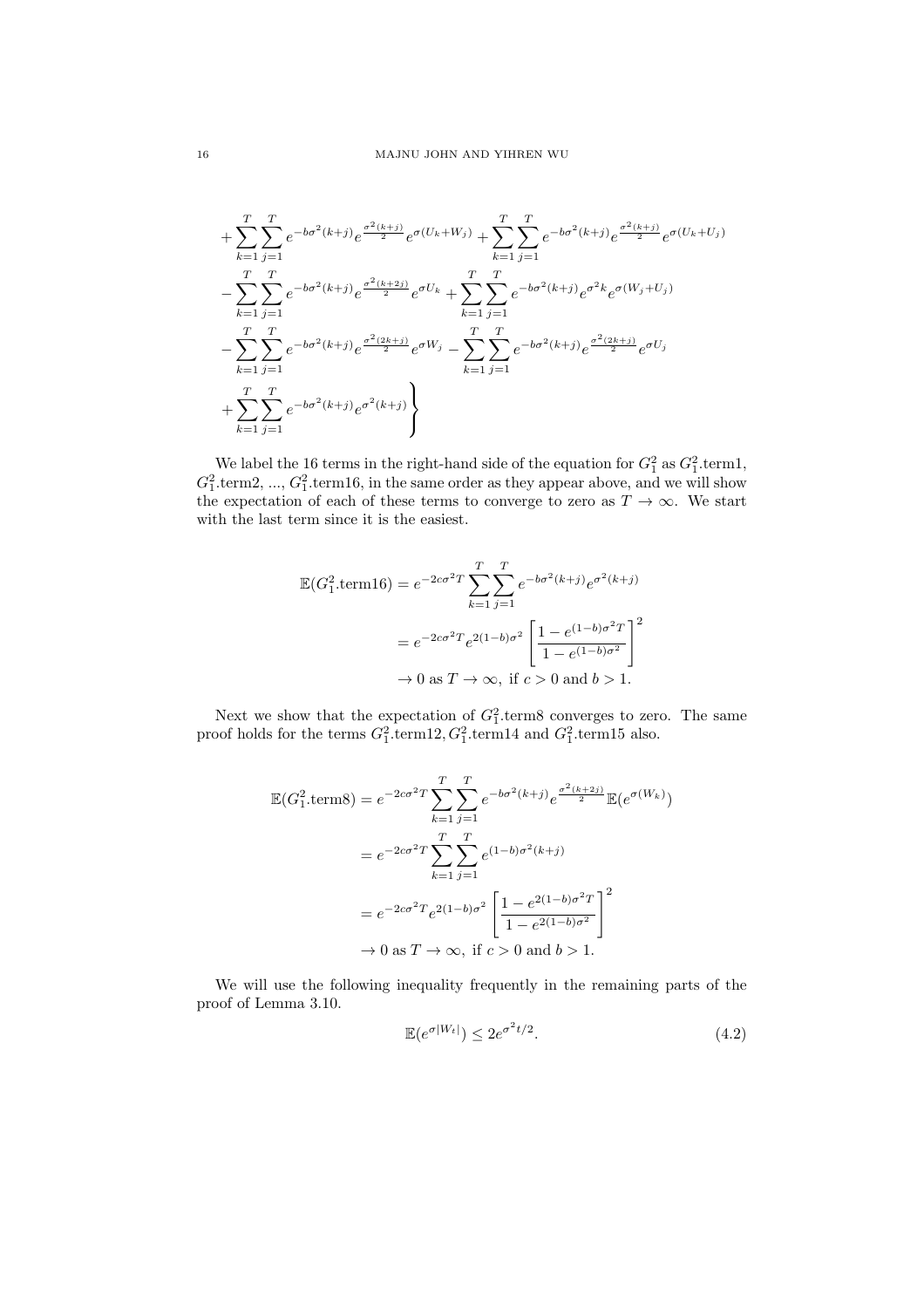$$
+\sum_{k=1}^{T} \sum_{j=1}^{T} e^{-b\sigma^{2}(k+j)} e^{\frac{\sigma^{2}(k+j)}{2}} e^{\sigma(U_{k}+W_{j})} + \sum_{k=1}^{T} \sum_{j=1}^{T} e^{-b\sigma^{2}(k+j)} e^{\frac{\sigma^{2}(k+j)}{2}} e^{\sigma(U_{k}+U_{j})}
$$
  
\n
$$
-\sum_{k=1}^{T} \sum_{j=1}^{T} e^{-b\sigma^{2}(k+j)} e^{\frac{\sigma^{2}(k+2j)}{2}} e^{\sigma U_{k}} + \sum_{k=1}^{T} \sum_{j=1}^{T} e^{-b\sigma^{2}(k+j)} e^{\sigma^{2}k} e^{\sigma(W_{j}+U_{j})}
$$
  
\n
$$
-\sum_{k=1}^{T} \sum_{j=1}^{T} e^{-b\sigma^{2}(k+j)} e^{\frac{\sigma^{2}(2k+j)}{2}} e^{\sigma W_{j}} - \sum_{k=1}^{T} \sum_{j=1}^{T} e^{-b\sigma^{2}(k+j)} e^{\frac{\sigma^{2}(2k+j)}{2}} e^{\sigma U_{j}}
$$
  
\n
$$
+\sum_{k=1}^{T} \sum_{j=1}^{T} e^{-b\sigma^{2}(k+j)} e^{\sigma^{2}(k+j)} \}
$$

We label the 16 terms in the right-hand side of the equation for  $G_1^2$  as  $G_1^2$  term1,  $G_1^2$  term2, ...,  $G_1^2$  term16, in the same order as they appear above, and we will show the expectation of each of these terms to converge to zero as  $T \to \infty$ . We start with the last term since it is the easiest.

$$
\mathbb{E}(G_1^2.\text{term16}) = e^{-2c\sigma^2 T} \sum_{k=1}^T \sum_{j=1}^T e^{-b\sigma^2(k+j)} e^{\sigma^2(k+j)}
$$

$$
= e^{-2c\sigma^2 T} e^{2(1-b)\sigma^2} \left[ \frac{1 - e^{(1-b)\sigma^2 T}}{1 - e^{(1-b)\sigma^2}} \right]^2
$$

$$
\to 0 \text{ as } T \to \infty, \text{ if } c > 0 \text{ and } b > 1.
$$

Next we show that the expectation of  $G_1^2$  term8 converges to zero. The same proof holds for the terms  $G_1^2$  term12,  $G_1^2$  term14 and  $G_1^2$  term15 also.

$$
\mathbb{E}(G_1^2.\text{terms}) = e^{-2c\sigma^2 T} \sum_{k=1}^T \sum_{j=1}^T e^{-b\sigma^2(k+j)} e^{\frac{\sigma^2(k+2j)}{2}} \mathbb{E}(e^{\sigma(W_k)})
$$
  
=  $e^{-2c\sigma^2 T} \sum_{k=1}^T \sum_{j=1}^T e^{(1-b)\sigma^2(k+j)}$   
=  $e^{-2c\sigma^2 T} e^{2(1-b)\sigma^2} \left[ \frac{1 - e^{2(1-b)\sigma^2 T}}{1 - e^{2(1-b)\sigma^2}} \right]^2$   
 $\rightarrow 0 \text{ as } T \rightarrow \infty, \text{ if } c > 0 \text{ and } b > 1.$ 

We will use the following inequality frequently in the remaining parts of the proof of Lemma 3.10.

$$
\mathbb{E}(e^{\sigma|W_t|}) \le 2e^{\sigma^2 t/2}.\tag{4.2}
$$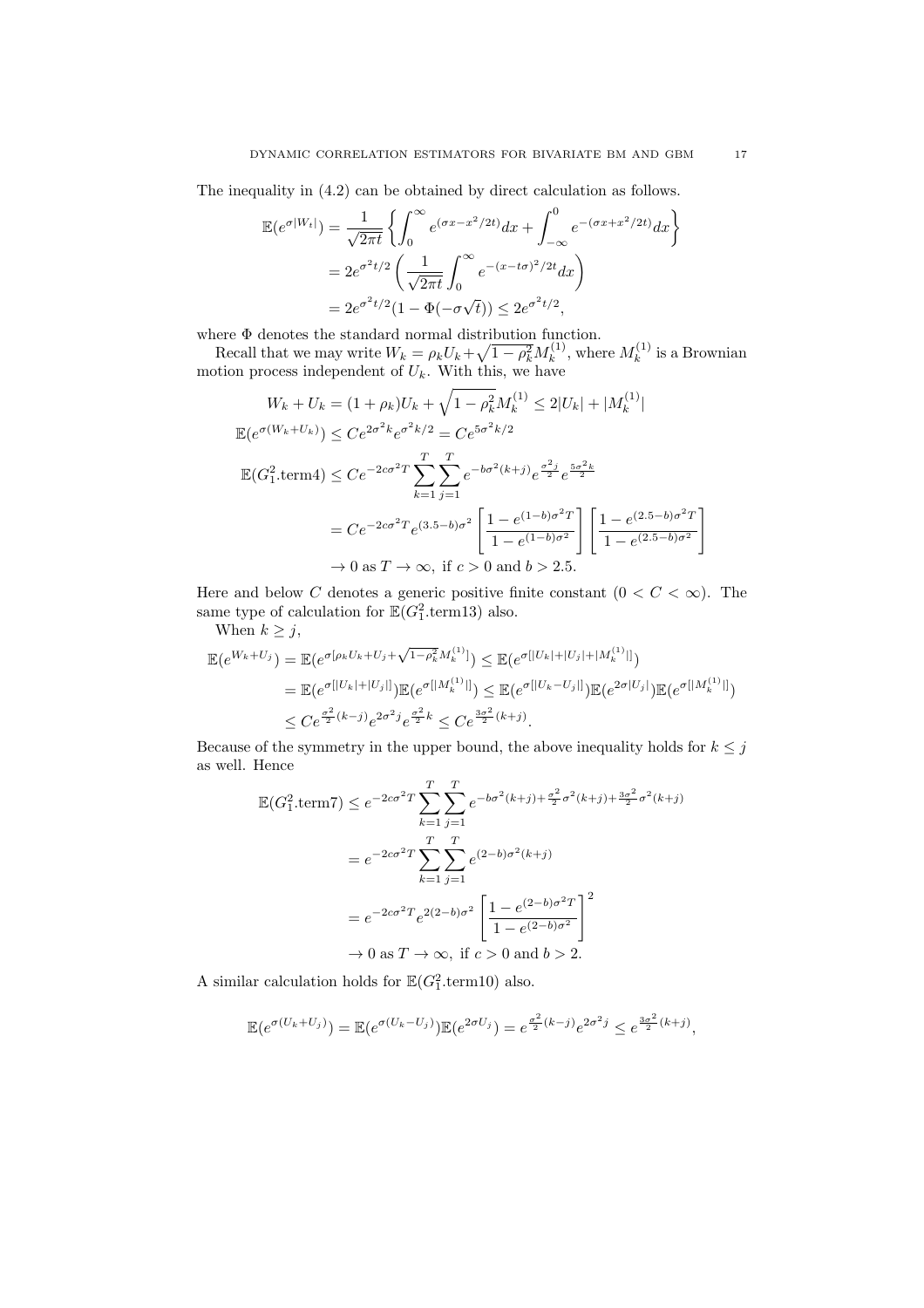The inequality in (4.2) can be obtained by direct calculation as follows.

$$
\mathbb{E}(e^{\sigma|W_t|}) = \frac{1}{\sqrt{2\pi t}} \left\{ \int_0^{\infty} e^{(\sigma x - x^2/2t)} dx + \int_{-\infty}^0 e^{-(\sigma x + x^2/2t)} dx \right\}
$$
  
=  $2e^{\sigma^2 t/2} \left( \frac{1}{\sqrt{2\pi t}} \int_0^{\infty} e^{-(x - t\sigma)^2/2t} dx \right)$   
=  $2e^{\sigma^2 t/2} (1 - \Phi(-\sigma\sqrt{t})) \le 2e^{\sigma^2 t/2},$ 

where Φ denotes the standard normal distribution function.

Recall that we may write  $W_k = \rho_k U_k + \sqrt{1 - \rho_k^2} M_k^{(1)}$  $k^{(1)}$ , where  $M_k^{(1)}$  $\kappa^{(1)}$  is a Brownian motion process independent of  $U_k$ . With this, we have

$$
W_k + U_k = (1 + \rho_k)U_k + \sqrt{1 - \rho_k^2}M_k^{(1)} \le 2|U_k| + |M_k^{(1)}|
$$
  
\n
$$
\mathbb{E}(e^{\sigma(W_k + U_k)}) \le Ce^{2\sigma^2 k}e^{\sigma^2 k/2} = Ce^{5\sigma^2 k/2}
$$
  
\n
$$
\mathbb{E}(G_1^2.\text{term4}) \le Ce^{-2c\sigma^2 T} \sum_{k=1}^T \sum_{j=1}^T e^{-b\sigma^2 (k+j)}e^{\frac{\sigma^2 j}{2}}e^{\frac{5\sigma^2 k}{2}}
$$
  
\n
$$
= Ce^{-2c\sigma^2 T}e^{(3.5-b)\sigma^2} \left[\frac{1 - e^{(1-b)\sigma^2 T}}{1 - e^{(1-b)\sigma^2}}\right] \left[\frac{1 - e^{(2.5-b)\sigma^2 T}}{1 - e^{(2.5-b)\sigma^2}}\right]
$$
  
\n
$$
\to 0 \text{ as } T \to \infty, \text{ if } c > 0 \text{ and } b > 2.5.
$$

Here and below C denotes a generic positive finite constant  $(0 < C < \infty)$ . The same type of calculation for  $\mathbb{E}(G_1^2.\text{term13})$  also.

When  $k \geq j$ ,

$$
\mathbb{E}(e^{W_k+U_j}) = \mathbb{E}(e^{\sigma[\rho_k U_k+U_j+\sqrt{1-\rho_k^2}M_k^{(1)}]}) \leq \mathbb{E}(e^{\sigma[|U_k|+|U_j|+|M_k^{(1)}|]})
$$
  
\n
$$
= \mathbb{E}(e^{\sigma[|U_k|+|U_j|]})\mathbb{E}(e^{\sigma[|M_k^{(1)}|]}) \leq \mathbb{E}(e^{\sigma[|U_k-U_j|]})\mathbb{E}(e^{2\sigma|U_j|})\mathbb{E}(e^{\sigma[|M_k^{(1)}|]})
$$
  
\n
$$
\leq Ce^{\frac{\sigma^2}{2}(k-j)}e^{2\sigma^2j}e^{\frac{\sigma^2}{2}k} \leq Ce^{\frac{3\sigma^2}{2}(k+j)}.
$$

Because of the symmetry in the upper bound, the above inequality holds for  $k \leq j$ as well. Hence

$$
\mathbb{E}(G_1^2.\text{term7}) \le e^{-2c\sigma^2 T} \sum_{k=1}^T \sum_{j=1}^T e^{-b\sigma^2(k+j) + \frac{\sigma^2}{2}\sigma^2(k+j) + \frac{3\sigma^2}{2}\sigma^2(k+j)}
$$
\n
$$
= e^{-2c\sigma^2 T} \sum_{k=1}^T \sum_{j=1}^T e^{(2-b)\sigma^2(k+j)}
$$
\n
$$
= e^{-2c\sigma^2 T} e^{2(2-b)\sigma^2} \left[ \frac{1 - e^{(2-b)\sigma^2 T}}{1 - e^{(2-b)\sigma^2}} \right]^2
$$
\n
$$
\to 0 \text{ as } T \to \infty, \text{ if } c > 0 \text{ and } b > 2.
$$

A similar calculation holds for  $\mathbb{E}(G_1^2.\text{term}10)$  also.

$$
\mathbb{E}(e^{\sigma(U_k+U_j)}) = \mathbb{E}(e^{\sigma(U_k-U_j)})\mathbb{E}(e^{2\sigma U_j}) = e^{\frac{\sigma^2}{2}(k-j)}e^{2\sigma^2j} \leq e^{\frac{3\sigma^2}{2}(k+j)},
$$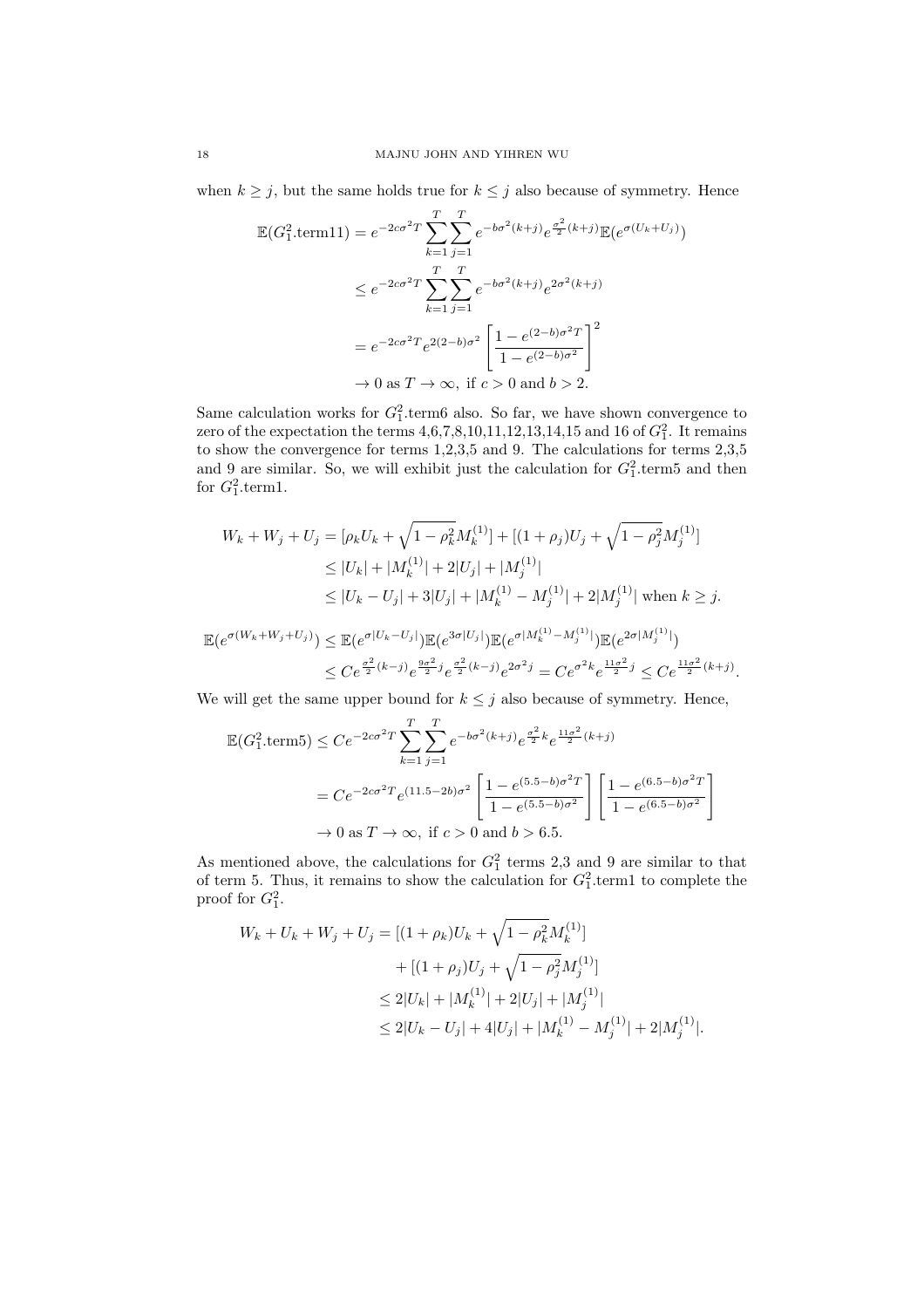when  $k \geq j$ , but the same holds true for  $k \leq j$  also because of symmetry. Hence

$$
\mathbb{E}(G_1^2.\text{term11}) = e^{-2c\sigma^2 T} \sum_{k=1}^T \sum_{j=1}^T e^{-b\sigma^2(k+j)} e^{\frac{\sigma^2}{2}(k+j)} \mathbb{E}(e^{\sigma(U_k+U_j)})
$$
  
\n
$$
\leq e^{-2c\sigma^2 T} \sum_{k=1}^T \sum_{j=1}^T e^{-b\sigma^2(k+j)} e^{2\sigma^2(k+j)}
$$
  
\n
$$
= e^{-2c\sigma^2 T} e^{2(2-b)\sigma^2} \left[ \frac{1 - e^{(2-b)\sigma^2 T}}{1 - e^{(2-b)\sigma^2}} \right]^2
$$
  
\n
$$
\to 0 \text{ as } T \to \infty, \text{ if } c > 0 \text{ and } b > 2.
$$

Same calculation works for  $G_1^2$  term6 also. So far, we have shown convergence to zero of the expectation the terms  $4,6,7,8,10,11,12,13,14,15$  and 16 of  $G_1^2$ . It remains to show the convergence for terms 1,2,3,5 and 9. The calculations for terms 2,3,5 and 9 are similar. So, we will exhibit just the calculation for  $G_1^2$  term5 and then for  $G_1^2$  term1.

$$
W_k + W_j + U_j = [\rho_k U_k + \sqrt{1 - \rho_k^2} M_k^{(1)}] + [(1 + \rho_j)U_j + \sqrt{1 - \rho_j^2} M_j^{(1)}]
$$
  
\n
$$
\leq |U_k| + |M_k^{(1)}| + 2|U_j| + |M_j^{(1)}|
$$
  
\n
$$
\leq |U_k - U_j| + 3|U_j| + |M_k^{(1)} - M_j^{(1)}| + 2|M_j^{(1)}| \text{ when } k \geq j.
$$

$$
\mathbb{E}(e^{\sigma(W_k + W_j + U_j)}) \leq \mathbb{E}(e^{\sigma|U_k - U_j|}) \mathbb{E}(e^{3\sigma|U_j|}) \mathbb{E}(e^{\sigma|M_k^{(1)} - M_j^{(1)}|}) \mathbb{E}(e^{2\sigma|M_j^{(1)}|})
$$
  

$$
\leq C e^{\frac{\sigma^2}{2}(k-j)} e^{\frac{9\sigma^2}{2}j} e^{\frac{\sigma^2}{2}(k-j)} e^{2\sigma^2 j} = C e^{\sigma^2 k} e^{\frac{11\sigma^2}{2}j} \leq C e^{\frac{11\sigma^2}{2}(k+j)}.
$$

We will get the same upper bound for  $k \leq j$  also because of symmetry. Hence,

$$
\mathbb{E}(G_1^2.\text{term5}) \le Ce^{-2c\sigma^2 T} \sum_{k=1}^T \sum_{j=1}^T e^{-b\sigma^2(k+j)} e^{\frac{\sigma^2}{2}k} e^{\frac{11\sigma^2}{2}(k+j)}
$$

$$
= Ce^{-2c\sigma^2 T} e^{(11.5-2b)\sigma^2} \left[ \frac{1 - e^{(5.5-b)\sigma^2 T}}{1 - e^{(5.5-b)\sigma^2}} \right] \left[ \frac{1 - e^{(6.5-b)\sigma^2 T}}{1 - e^{(6.5-b)\sigma^2}} \right]
$$

$$
\to 0 \text{ as } T \to \infty, \text{ if } c > 0 \text{ and } b > 6.5.
$$

As mentioned above, the calculations for  $G_1^2$  terms 2,3 and 9 are similar to that of term 5. Thus, it remains to show the calculation for  $G_1^2$  term1 to complete the proof for  $G_1^2$ .

$$
W_k + U_k + W_j + U_j = [(1 + \rho_k)U_k + \sqrt{1 - \rho_k^2}M_k^{(1)}] + [(1 + \rho_j)U_j + \sqrt{1 - \rho_j^2}M_j^{(1)}] \leq 2|U_k| + |M_k^{(1)}| + 2|U_j| + |M_j^{(1)}| \leq 2|U_k - U_j| + 4|U_j| + |M_k^{(1)} - M_j^{(1)}| + 2|M_j^{(1)}|.
$$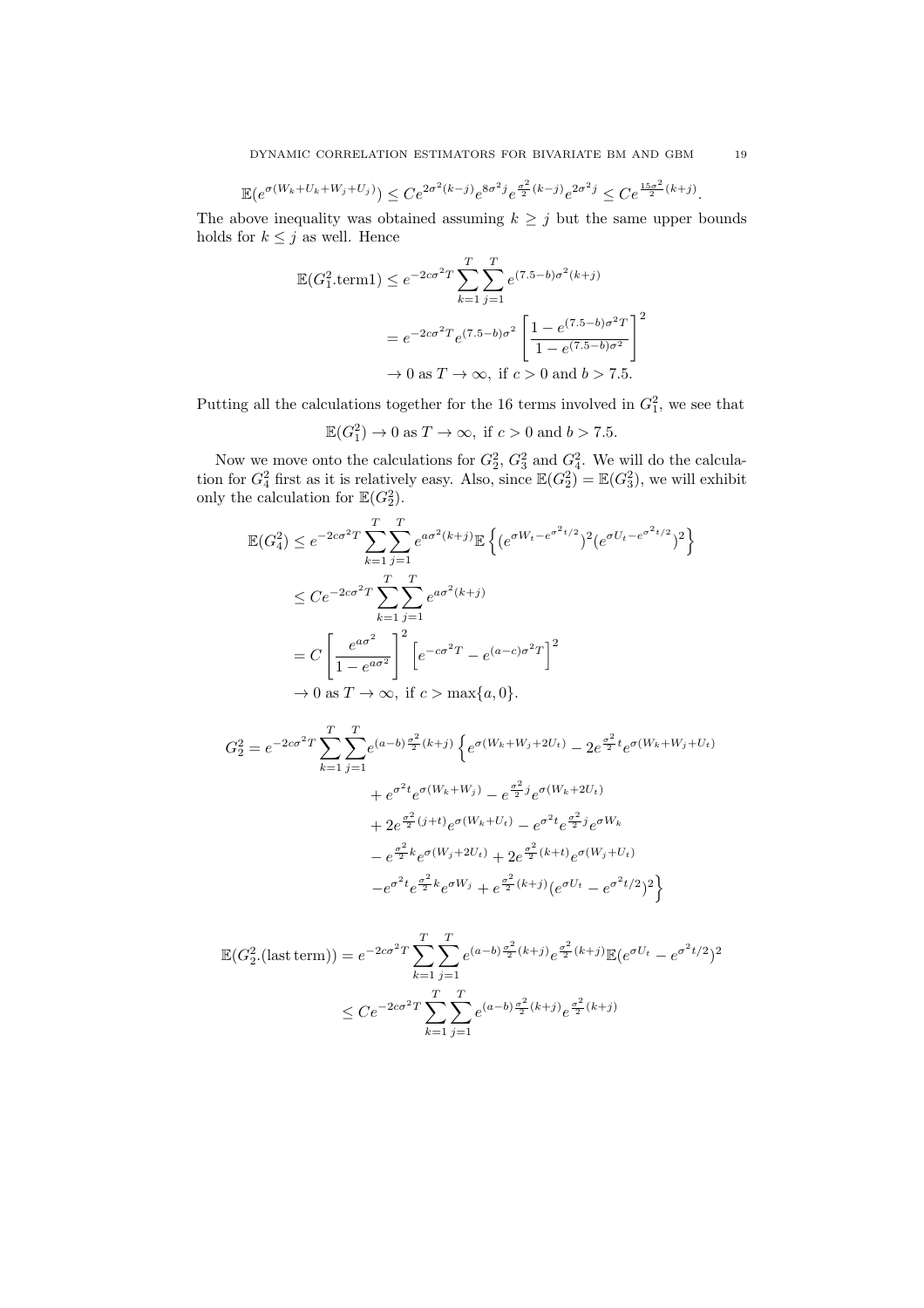$$
\mathbb{E}(e^{\sigma(W_k+U_k+W_j+U_j)}) \le Ce^{2\sigma^2(k-j)}e^{8\sigma^2j}e^{\frac{\sigma^2}{2}(k-j)}e^{2\sigma^2j} \le Ce^{\frac{15\sigma^2}{2}(k+j)}.
$$

The above inequality was obtained assuming  $k \geq j$  but the same upper bounds holds for  $k \leq j$  as well. Hence

$$
\mathbb{E}(G_1^2.\text{term1}) \le e^{-2c\sigma^2 T} \sum_{k=1}^T \sum_{j=1}^T e^{(7.5-b)\sigma^2(k+j)}
$$

$$
= e^{-2c\sigma^2 T} e^{(7.5-b)\sigma^2} \left[ \frac{1 - e^{(7.5-b)\sigma^2 T}}{1 - e^{(7.5-b)\sigma^2}} \right]^2
$$

$$
\to 0 \text{ as } T \to \infty, \text{ if } c > 0 \text{ and } b > 7.5.
$$

Putting all the calculations together for the 16 terms involved in  $G_1^2$ , we see that

$$
\mathbb{E}(G_1^2) \to 0 \text{ as } T \to \infty, \text{ if } c > 0 \text{ and } b > 7.5.
$$

Now we move onto the calculations for  $G_2^2$ ,  $G_3^2$  and  $G_4^2$ . We will do the calculation for  $G_4^2$  first as it is relatively easy. Also, since  $\mathbb{E}(G_2^2) = \mathbb{E}(G_3^2)$ , we will exhibit only the calculation for  $\mathbb{E}(G_2^2)$ .

$$
\mathbb{E}(G_4^2) \le e^{-2c\sigma^2 T} \sum_{k=1}^T \sum_{j=1}^T e^{a\sigma^2(k+j)} \mathbb{E}\left\{ (e^{\sigma W_t - e^{\sigma^2 t/2}})^2 (e^{\sigma U_t - e^{\sigma^2 t/2}})^2 \right\}
$$
  
\n
$$
\le C e^{-2c\sigma^2 T} \sum_{k=1}^T \sum_{j=1}^T e^{a\sigma^2(k+j)}
$$
  
\n
$$
= C \left[ \frac{e^{a\sigma^2}}{1 - e^{a\sigma^2}} \right]^2 \left[ e^{-c\sigma^2 T} - e^{(a-c)\sigma^2 T} \right]^2
$$
  
\n
$$
\to 0 \text{ as } T \to \infty, \text{ if } c > \max\{a, 0\}.
$$

$$
G_2^2 = e^{-2c\sigma^2 T} \sum_{k=1}^T \sum_{j=1}^T e^{(a-b)\frac{\sigma^2}{2}(k+j)} \left\{ e^{\sigma(W_k + W_j + 2U_t)} - 2e^{\frac{\sigma^2}{2}t} e^{\sigma(W_k + W_j + U_t)} \right.+ e^{\sigma^2 t} e^{\sigma(W_k + W_j)} - e^{\frac{\sigma^2}{2}j} e^{\sigma(W_k + 2U_t)} + 2e^{\frac{\sigma^2}{2}(j+t)} e^{\sigma(W_k + U_t)} - e^{\sigma^2 t} e^{\frac{\sigma^2}{2}j} e^{\sigma W_k} - e^{\frac{\sigma^2}{2}k} e^{\sigma(W_j + 2U_t)} + 2e^{\frac{\sigma^2}{2}(k+t)} e^{\sigma(W_j + U_t)} - e^{\sigma^2 t} e^{\frac{\sigma^2}{2}k} e^{\sigma W_j} + e^{\frac{\sigma^2}{2}(k+j)} (e^{\sigma U_t} - e^{\sigma^2 t/2})^2 \right\}
$$

$$
\mathbb{E}(G_2^2.(\text{last term})) = e^{-2c\sigma^2 T} \sum_{k=1}^T \sum_{j=1}^T e^{(a-b)\frac{\sigma^2}{2}(k+j)} e^{\frac{\sigma^2}{2}(k+j)} \mathbb{E}(e^{\sigma U_t} - e^{\sigma^2 t/2})^2
$$
  

$$
\leq C e^{-2c\sigma^2 T} \sum_{k=1}^T \sum_{j=1}^T e^{(a-b)\frac{\sigma^2}{2}(k+j)} e^{\frac{\sigma^2}{2}(k+j)}
$$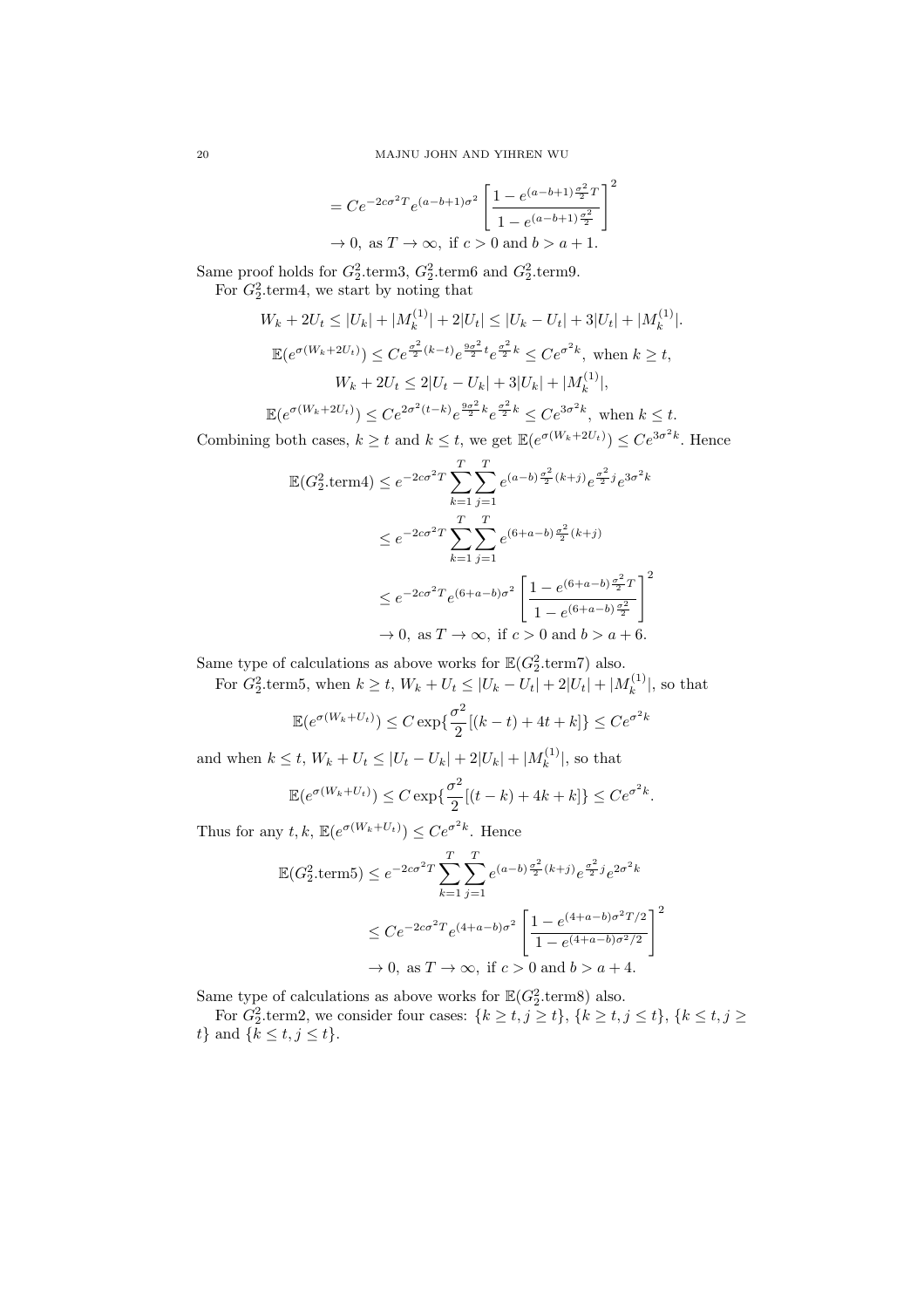$$
=Ce^{-2c\sigma^2T}e^{(a-b+1)\sigma^2}\left[\frac{1-e^{(a-b+1)\frac{\sigma^2}{2}T}}{1-e^{(a-b+1)\frac{\sigma^2}{2}}}\right]^2
$$
  
\n $\rightarrow 0$ , as  $T \rightarrow \infty$ , if  $c > 0$  and  $b > a + 1$ .

Same proof holds for  $G_2^2$  term3,  $G_2^2$  term6 and  $G_2^2$  term9. For  $G_2^2$  term4, we start by noting that

$$
W_k + 2U_t \le |U_k| + |M_k^{(1)}| + 2|U_t| \le |U_k - U_t| + 3|U_t| + |M_k^{(1)}|.
$$
  

$$
\mathbb{E}(e^{\sigma(W_k + 2U_t)}) \le C e^{\frac{\sigma^2}{2}(k-t)} e^{\frac{9\sigma^2}{2}t} e^{\frac{\sigma^2}{2}k} \le C e^{\sigma^2 k}, \text{ when } k \ge t,
$$
  

$$
W_k + 2U_t \le 2|U_t - U_k| + 3|U_k| + |M_k^{(1)}|,
$$
  

$$
\mathbb{E}(e^{\sigma(W_k + 2U_t)}) \le C e^{2\sigma^2(t-k)} e^{\frac{9\sigma^2}{2}k} e^{\frac{\sigma^2}{2}k} \le C e^{3\sigma^2 k}, \text{ when } k \le t.
$$

Combining both cases,  $k \geq t$  and  $k \leq t$ , we get  $\mathbb{E}(e^{\sigma(W_k + 2U_t)}) \leq Ce^{3\sigma^2 k}$ . Hence

$$
\mathbb{E}(G_2^2.\text{term4}) \le e^{-2c\sigma^2 T} \sum_{k=1}^T \sum_{j=1}^T e^{(a-b)\frac{\sigma^2}{2}(k+j)} e^{\frac{\sigma^2}{2}j} e^{3\sigma^2 k}
$$
\n
$$
\le e^{-2c\sigma^2 T} \sum_{k=1}^T \sum_{j=1}^T e^{(6+a-b)\frac{\sigma^2}{2}(k+j)}
$$
\n
$$
\le e^{-2c\sigma^2 T} e^{(6+a-b)\sigma^2} \left[ \frac{1 - e^{(6+a-b)\frac{\sigma^2}{2}T}}{1 - e^{(6+a-b)\frac{\sigma^2}{2}}} \right]^2
$$
\n
$$
\to 0, \text{ as } T \to \infty, \text{ if } c > 0 \text{ and } b > a + 6.
$$

Same type of calculations as above works for  $\mathbb{E}(G_2^2.\text{term7})$  also.

For  $G_2^2$  term5, when  $k \ge t$ ,  $W_k + U_t \le |U_k - U_t| + 2|U_t| + |M_k^{(1)}|$  $\binom{[1]}{k}$ , so that

$$
\mathbb{E}(e^{\sigma(W_k+U_t)}) \le C \exp\{\frac{\sigma^2}{2}[(k-t)+4t+k]\} \le Ce^{\sigma^2 k}
$$

and when  $k \leq t$ ,  $W_k + U_t \leq |U_t - U_k| + 2|U_k| + |M_k^{(1)}|$  $\binom{[1]}{k}$ , so that

$$
\mathbb{E}(e^{\sigma(W_k+U_t)}) \le C \exp\{\frac{\sigma^2}{2}[(t-k)+4k+k]\} \le Ce^{\sigma^2k}.
$$

Thus for any  $t, k, \mathbb{E}(e^{\sigma(W_k+U_t)}) \leq Ce^{\sigma^2 k}$ . Hence

$$
\mathbb{E}(G_2^2.\text{term5}) \le e^{-2c\sigma^2 T} \sum_{k=1}^T \sum_{j=1}^T e^{(a-b)\frac{\sigma^2}{2}(k+j)} e^{\frac{\sigma^2}{2}j} e^{2\sigma^2 k}
$$
\n
$$
\le C e^{-2c\sigma^2 T} e^{(4+a-b)\sigma^2} \left[ \frac{1 - e^{(4+a-b)\sigma^2 T/2}}{1 - e^{(4+a-b)\sigma^2/2}} \right]^2
$$
\n
$$
\to 0, \text{ as } T \to \infty, \text{ if } c > 0 \text{ and } b > a + 4.
$$

Same type of calculations as above works for  $\mathbb{E}(G_2^2.\text{term8})$  also.

For  $G_2^2$  term2, we consider four cases:  $\{k \ge t, j \ge t\}$ ,  $\{k \ge t, j \le t\}$ ,  $\{k \le t, j \ge t\}$  $t\}$  and  $\{\bar{k} \leq t, j \leq t\}.$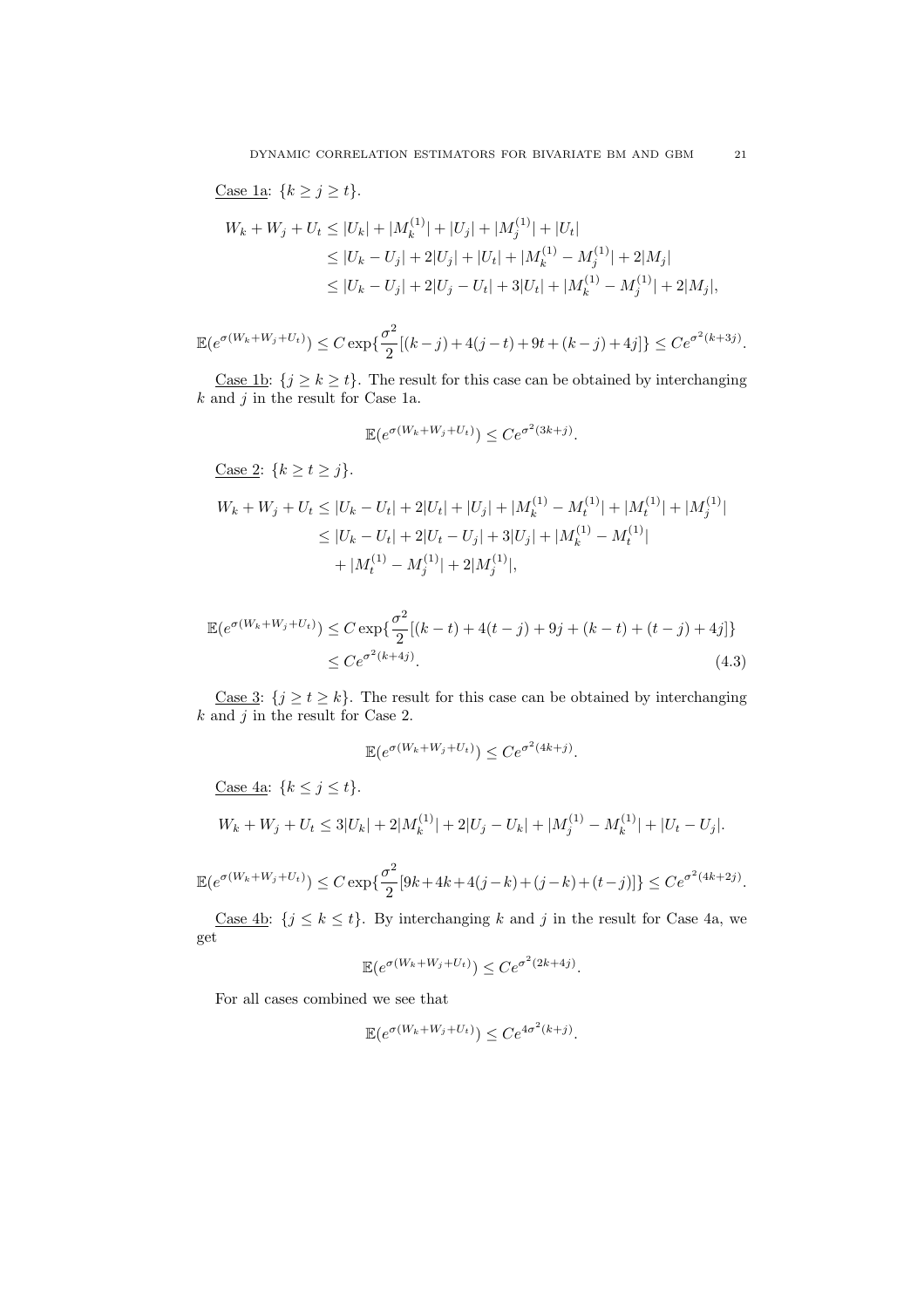Case 1a:  ${k \ge j \ge t}.$ 

$$
W_k + W_j + U_t \le |U_k| + |M_k^{(1)}| + |U_j| + |M_j^{(1)}| + |U_t|
$$
  
\n
$$
\le |U_k - U_j| + 2|U_j| + |U_t| + |M_k^{(1)} - M_j^{(1)}| + 2|M_j|
$$
  
\n
$$
\le |U_k - U_j| + 2|U_j - U_t| + 3|U_t| + |M_k^{(1)} - M_j^{(1)}| + 2|M_j|,
$$

 $\mathbb{E}(e^{\sigma(W_k+W_j+U_t)}) \leq C \exp\{\frac{\sigma^2}{2}\}$  $\frac{\sigma}{2}[(k-j)+4(j-t)+9t+(k-j)+4j]\} \leq Ce^{\sigma^2(k+3j)}.$ 

<u>Case 1b</u>:  $\{j \ge k \ge t\}$ . The result for this case can be obtained by interchanging  $k$  and  $j$  in the result for Case 1a.

$$
\mathbb{E}(e^{\sigma(W_k + W_j + U_t)}) \le Ce^{\sigma^2(3k+j)}.
$$

Case 2:  ${k \ge t \ge j}.$ 

$$
W_k + W_j + U_t \le |U_k - U_t| + 2|U_t| + |U_j| + |M_k^{(1)} - M_t^{(1)}| + |M_t^{(1)}| + |M_j^{(1)}|
$$
  
\n
$$
\le |U_k - U_t| + 2|U_t - U_j| + 3|U_j| + |M_k^{(1)} - M_t^{(1)}|
$$
  
\n
$$
+ |M_t^{(1)} - M_j^{(1)}| + 2|M_j^{(1)}|,
$$

$$
\mathbb{E}(e^{\sigma(W_k + W_j + U_t)}) \le C \exp\{\frac{\sigma^2}{2}[(k-t) + 4(t-j) + 9j + (k-t) + (t-j) + 4j]\}
$$
  
 
$$
\le C e^{\sigma^2(k+4j)}.
$$
 (4.3)

<u>Case 3</u>:  $\{j \ge t \ge k\}$ . The result for this case can be obtained by interchanging  $k$  and  $j$  in the result for Case 2.

$$
\mathbb{E}(e^{\sigma(W_k + W_j + U_t)}) \le Ce^{\sigma^2(4k+j)}.
$$

Case  $4a: \{k \leq j \leq t\}.$ 

$$
W_k + W_j + U_t \le 3|U_k| + 2|M_k^{(1)}| + 2|U_j - U_k| + |M_j^{(1)} - M_k^{(1)}| + |U_t - U_j|.
$$

$$
\mathbb{E}(e^{\sigma(W_k + W_j + U_t)}) \le C \exp\{\frac{\sigma^2}{2}[9k + 4k + 4(j - k) + (j - k) + (t - j)]\} \le Ce^{\sigma^2(4k + 2j)}.
$$

<u>Case 4b</u>:  $\{j \leq k \leq t\}$ . By interchanging k and j in the result for Case 4a, we get

$$
\mathbb{E}(e^{\sigma(W_k + W_j + U_t)}) \le Ce^{\sigma^2(2k+4j)}.
$$

For all cases combined we see that

$$
\mathbb{E}(e^{\sigma(W_k + W_j + U_t)}) \le Ce^{4\sigma^2(k+j)}.
$$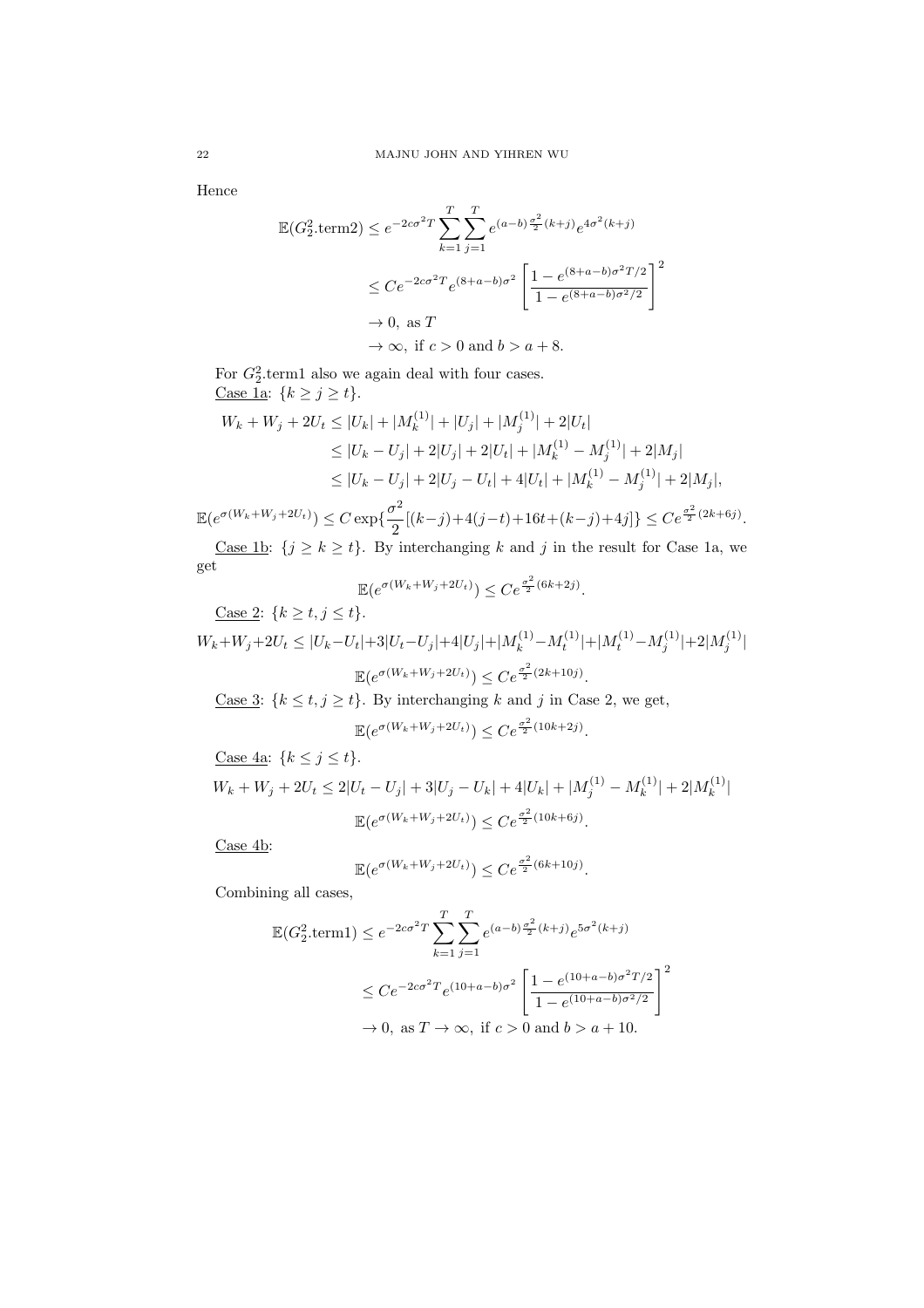Hence

$$
\mathbb{E}(G_2^2.\text{term2}) \le e^{-2c\sigma^2 T} \sum_{k=1}^T \sum_{j=1}^T e^{(a-b)\frac{\sigma^2}{2}(k+j)} e^{4\sigma^2(k+j)}
$$
\n
$$
\le C e^{-2c\sigma^2 T} e^{(8+a-b)\sigma^2} \left[ \frac{1 - e^{(8+a-b)\sigma^2 T/2}}{1 - e^{(8+a-b)\sigma^2/2}} \right]^2
$$
\n
$$
\to 0, \text{ as } T
$$
\n
$$
\to \infty, \text{ if } c > 0 \text{ and } b > a + 8.
$$

For  $G_2^2$  term1 also we again deal with four cases. Case 1a:  ${k \ge j \ge t}.$ 

$$
W_k + W_j + 2U_t \le |U_k| + |M_k^{(1)}| + |U_j| + |M_j^{(1)}| + 2|U_t|
$$
  
\n
$$
\le |U_k - U_j| + 2|U_j| + 2|U_t| + |M_k^{(1)} - M_j^{(1)}| + 2|M_j|
$$
  
\n
$$
\le |U_k - U_j| + 2|U_j - U_t| + 4|U_t| + |M_k^{(1)} - M_j^{(1)}| + 2|M_j|,
$$

 $\mathbb{E}(e^{\sigma(W_k+W_j+2U_t)}) \leq C \exp\{\frac{\sigma^2}{2}\}$  $\frac{\sigma^2}{2}[(k-j)+4(j-t)+16t+(k-j)+4j]$ }  $\leq Ce^{\frac{\sigma^2}{2}(2k+6j)}$ . <u>Case 1b</u>:  $\{j \ge k \ge t\}$ . By interchanging k and j in the result for Case 1a, we get

$$
\mathbb{E}(e^{\sigma(W_k+W_j+2U_t)}) \le Ce^{\frac{\sigma^2}{2}(6k+2j)}.
$$

Case 2:  ${k \ge t, j \le t}.$ 

 $W_k + W_j + 2U_t \leq |U_k - U_t| + 3|U_t - U_j| + 4|U_j| + |M^{(1)}_k - M^{(1)}_t| + |M^{(1)}_t - M^{(1)}_j| + 2|M^{(1)}_j|$  $\mathbb{E}(e^{\sigma(W_k+W_j+2U_t)}) \leq Ce^{\frac{\sigma^2}{2}(2k+10j)}.$ 

Case 3:  $\{k \le t, j \ge t\}$ . By interchanging k and j in Case 2, we get,

$$
\mathbb{E}(e^{\sigma(W_k + W_j + 2U_t)}) \le Ce^{\frac{\sigma^2}{2}(10k + 2j)}.
$$

Case 4a:  ${k \leq j \leq t}.$ 

$$
W_k + W_j + 2U_t \le 2|U_t - U_j| + 3|U_j - U_k| + 4|U_k| + |M_j^{(1)} - M_k^{(1)}| + 2|M_k^{(1)}|
$$
  

$$
\mathbb{E}(e^{\sigma(W_k + W_j + 2U_t)}) \le Ce^{\frac{\sigma^2}{2}(10k + 6j)}.
$$

Case 4b:

$$
\mathbb{E}(e^{\sigma(W_k+W_j+2U_t)}) \le Ce^{\frac{\sigma^2}{2}(6k+10j)}.
$$

Combining all cases,

$$
\mathbb{E}(G_2^2 \text{.term1}) \le e^{-2c\sigma^2 T} \sum_{k=1}^T \sum_{j=1}^T e^{(a-b)\frac{\sigma^2}{2}(k+j)} e^{5\sigma^2(k+j)}
$$
  

$$
\le C e^{-2c\sigma^2 T} e^{(10+a-b)\sigma^2} \left[ \frac{1 - e^{(10+a-b)\sigma^2 T/2}}{1 - e^{(10+a-b)\sigma^2/2}} \right]^2
$$
  

$$
\to 0, \text{ as } T \to \infty, \text{ if } c > 0 \text{ and } b > a + 10.
$$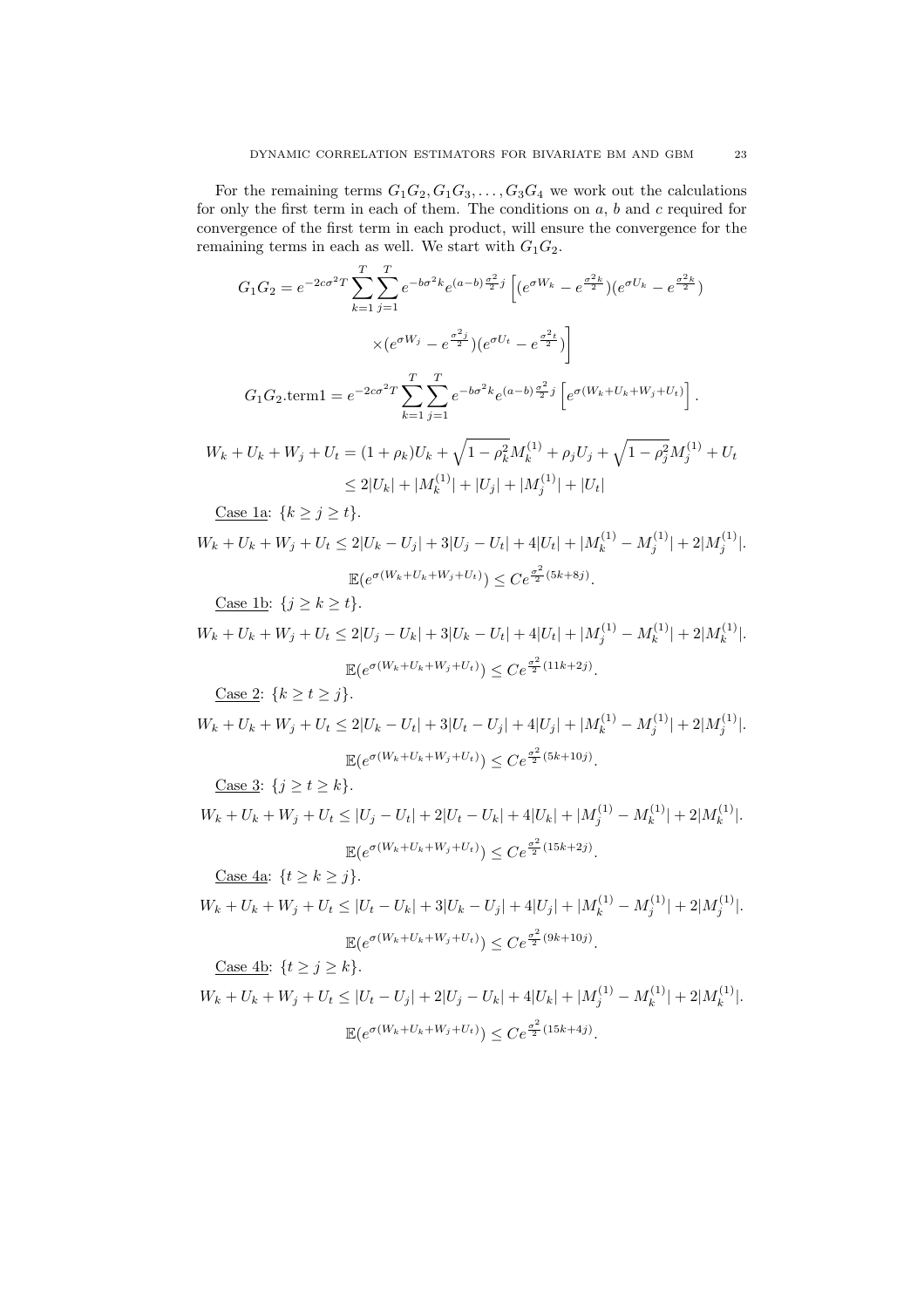For the remaining terms  $G_1G_2, G_1G_3, \ldots, G_3G_4$  we work out the calculations for only the first term in each of them. The conditions on  $a, b$  and  $c$  required for convergence of the first term in each product, will ensure the convergence for the remaining terms in each as well. We start with  $G_1G_2$ .

$$
G_1 G_2 = e^{-2c\sigma^2 T} \sum_{k=1}^T \sum_{j=1}^T e^{-b\sigma^2 k} e^{(a-b)\frac{\sigma^2}{2}j} \left[ (e^{\sigma W_k} - e^{\frac{\sigma^2 k}{2}})(e^{\sigma U_k} - e^{\frac{\sigma^2 k}{2}}) \right]
$$
  

$$
\times (e^{\sigma W_j} - e^{\frac{\sigma^2 j}{2}})(e^{\sigma U_t} - e^{\frac{\sigma^2 i}{2}}) \right]
$$
  

$$
G_1 G_2 . \text{term1} = e^{-2c\sigma^2 T} \sum_{k=1}^T \sum_{j=1}^T e^{-b\sigma^2 k} e^{(a-b)\frac{\sigma^2}{2}j} \left[ e^{\sigma (W_k + U_k + W_j + U_t)} \right].
$$
  

$$
W_k + U_k + W_j + U_t = (1 + \rho_k)U_k + \sqrt{1 - \rho_k^2} M_k^{(1)} + \rho_j U_j + \sqrt{1 - \rho_j^2} M_j^{(1)} + U_t
$$
  

$$
\leq 2|U_k| + |M_k^{(1)}| + |U_j| + |M_j^{(1)}| + |U_t|
$$

Case 1a:  ${k \ge j \ge t}.$ 

$$
W_k + U_k + W_j + U_t \le 2|U_k - U_j| + 3|U_j - U_t| + 4|U_t| + |M_k^{(1)} - M_j^{(1)}| + 2|M_j^{(1)}|.
$$
  

$$
\mathbb{E}(e^{\sigma(W_k + U_k + W_j + U_t)}) \le Ce^{\frac{\sigma^2}{2}(5k + 8j)}.
$$

Case 1b:  $\{j \ge k \ge t\}$ .

$$
W_k + U_k + W_j + U_t \le 2|U_j - U_k| + 3|U_k - U_t| + 4|U_t| + |M_j^{(1)} - M_k^{(1)}| + 2|M_k^{(1)}|.
$$
  

$$
\mathbb{E}(e^{\sigma(W_k + U_k + W_j + U_t)}) \le Ce^{\frac{\sigma^2}{2}(11k + 2j)}.
$$

Case 2:  ${k \ge t \ge j}.$ 

$$
W_k + U_k + W_j + U_t \le 2|U_k - U_t| + 3|U_t - U_j| + 4|U_j| + |M_k^{(1)} - M_j^{(1)}| + 2|M_j^{(1)}|.
$$
  

$$
\mathbb{E}(e^{\sigma(W_k + U_k + W_j + U_t)}) \le Ce^{\frac{\sigma^2}{2}(5k + 10j)}.
$$

Case 3:  $\{j \ge t \ge k\}.$ 

$$
W_k + U_k + W_j + U_t \le |U_j - U_t| + 2|U_t - U_k| + 4|U_k| + |M_j^{(1)} - M_k^{(1)}| + 2|M_k^{(1)}|.
$$
  

$$
\mathbb{E}(e^{\sigma(W_k + U_k + W_j + U_t)}) \le C e^{\frac{\sigma^2}{2}(15k + 2j)}.
$$

Case 4a:  $\{t \geq k \geq j\}$ .

$$
W_k + U_k + W_j + U_t \le |U_t - U_k| + 3|U_k - U_j| + 4|U_j| + |M_k^{(1)} - M_j^{(1)}| + 2|M_j^{(1)}|.
$$
  

$$
\mathbb{E}(e^{\sigma(W_k + U_k + W_j + U_t)}) \le C e^{\frac{\sigma^2}{2}(9k + 10j)}.
$$

Case 4b:  $\{t \geq j \geq k\}.$  $W_k + U_k + W_j + U_t \leq |U_t - U_j| + 2|U_j - U_k| + 4|U_k| + |M_j^{(1)} - M_k^{(1)}|$ 

$$
\mathbb{E}(e^{\sigma(W_k + U_k + W_j + U_t)}) \le Ce^{\frac{\sigma^2}{2}(15k + 4j)}.
$$

 $|k^{(1)}| + 2|M_k^{(1)}|$ 

 $\binom{1}{k}$ .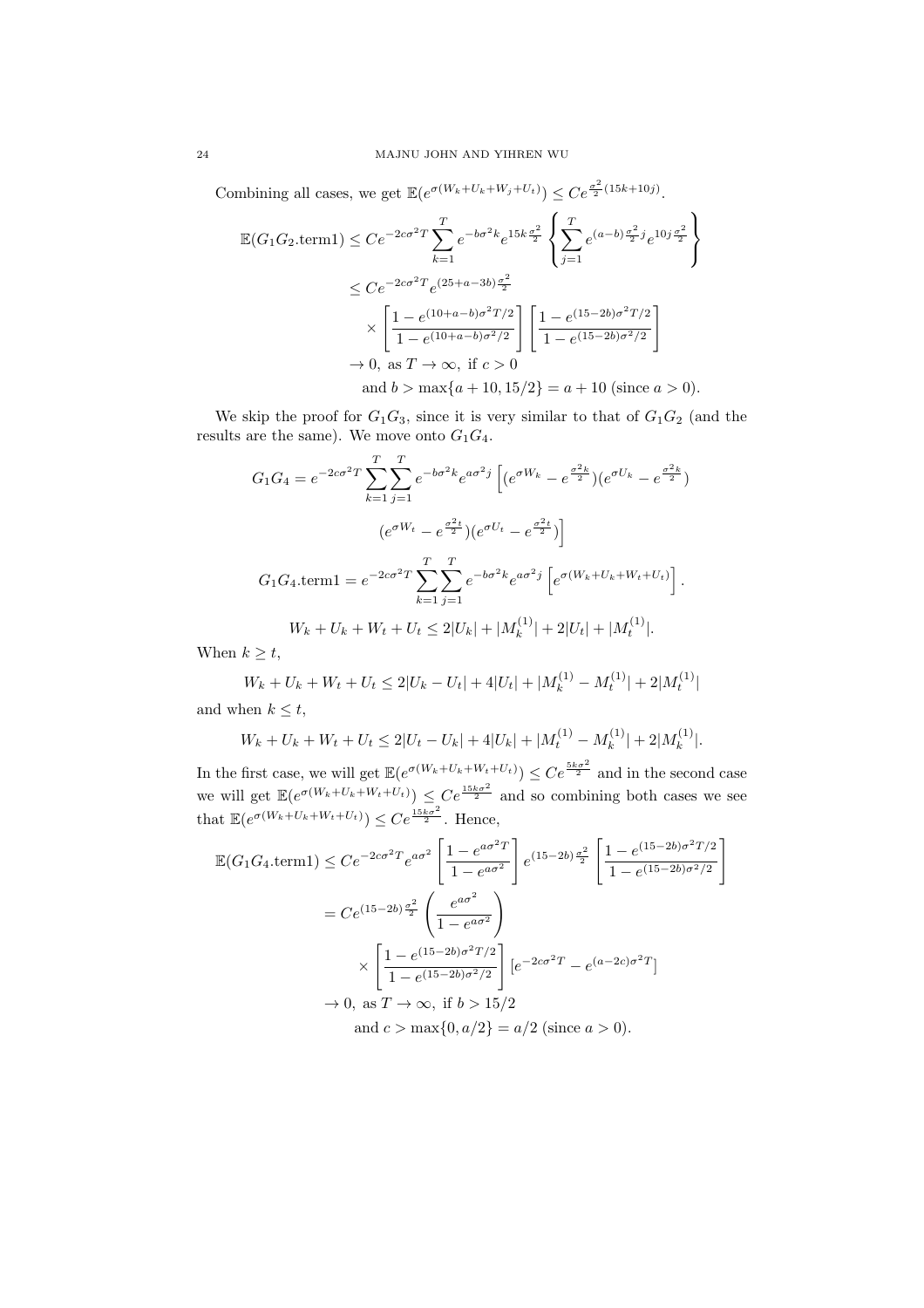Combining all cases, we get  $\mathbb{E}(e^{\sigma(W_k+U_k+W_j+U_t)}) \leq Ce^{\frac{\sigma^2}{2}(15k+10j)}$ .

$$
\mathbb{E}(G_1 G_2 \text{.term1}) \leq Ce^{-2c\sigma^2 T} \sum_{k=1}^T e^{-b\sigma^2 k} e^{15k\frac{\sigma^2}{2}} \left\{ \sum_{j=1}^T e^{(a-b)\frac{\sigma^2}{2}j} e^{10j\frac{\sigma^2}{2}} \right\}
$$
  
\n
$$
\leq Ce^{-2c\sigma^2 T} e^{(25+a-3b)\frac{\sigma^2}{2}}
$$
  
\n
$$
\times \left[ \frac{1 - e^{(10+a-b)\sigma^2 T/2}}{1 - e^{(10+a-b)\sigma^2/2}} \right] \left[ \frac{1 - e^{(15-2b)\sigma^2 T/2}}{1 - e^{(15-2b)\sigma^2/2}} \right]
$$
  
\n
$$
\to 0, \text{ as } T \to \infty, \text{ if } c > 0
$$
  
\nand  $b > \max\{a + 10, 15/2\} = a + 10 \text{ (since } a > 0\text{).}$ 

We skip the proof for  $G_1G_3$ , since it is very similar to that of  $G_1G_2$  (and the results are the same). We move onto  $G_1G_4$ .

$$
G_1 G_4 = e^{-2c\sigma^2 T} \sum_{k=1}^T \sum_{j=1}^T e^{-b\sigma^2 k} e^{a\sigma^2 j} \left[ (e^{\sigma W_k} - e^{\frac{\sigma^2 k}{2}}) (e^{\sigma U_k} - e^{\frac{\sigma^2 k}{2}}) \right]
$$

$$
(e^{\sigma W_t} - e^{\frac{\sigma^2 t}{2}}) (e^{\sigma U_t} - e^{\frac{\sigma^2 t}{2}}) \right]
$$

$$
G_1 G_4 . \text{term1} = e^{-2c\sigma^2 T} \sum_{k=1}^T \sum_{j=1}^T e^{-b\sigma^2 k} e^{a\sigma^2 j} \left[ e^{\sigma (W_k + U_k + W_t + U_t)} \right].
$$

$$
W_k + U_k + W_t + U_t \leq 2|U_k| + |M_k^{(1)}| + 2|U_t| + |M_t^{(1)}|.
$$

When  $k \geq t$ ,

$$
W_k + U_k + W_t + U_t \le 2|U_k - U_t| + 4|U_t| + |M_k^{(1)} - M_t^{(1)}| + 2|M_t^{(1)}|
$$

and when  $k \leq t$ ,

$$
W_k + U_k + W_t + U_t \le 2|U_t - U_k| + 4|U_k| + |M_t^{(1)} - M_k^{(1)}| + 2|M_k^{(1)}|.
$$

In the first case, we will get  $\mathbb{E}(e^{\sigma(W_k+U_k+W_t+U_t)}) \leq Ce^{\frac{5k\sigma^2}{2}}$  and in the second case we will get  $\mathbb{E}(e^{\sigma(W_k+U_k+W_t+U_t)}) \leq Ce^{\frac{15k\sigma^2}{2}}$  and so combining both cases we see that  $\mathbb{E}(e^{\sigma(W_k+U_k+W_t+U_t)}) \leq Ce^{\frac{15k\sigma^2}{2}}$ . Hence,

$$
\mathbb{E}(G_1 G_4.\text{term1}) \leq Ce^{-2c\sigma^2 T} e^{a\sigma^2} \left[ \frac{1 - e^{a\sigma^2 T}}{1 - e^{a\sigma^2}} \right] e^{(15-2b)\frac{\sigma^2}{2}} \left[ \frac{1 - e^{(15-2b)\sigma^2 T/2}}{1 - e^{(15-2b)\sigma^2/2}} \right]
$$

$$
= Ce^{(15-2b)\frac{\sigma^2}{2}} \left( \frac{e^{a\sigma^2}}{1 - e^{a\sigma^2}} \right)
$$

$$
\times \left[ \frac{1 - e^{(15-2b)\sigma^2 T/2}}{1 - e^{(15-2b)\sigma^2/2}} \right] \left[ e^{-2c\sigma^2 T} - e^{(a-2c)\sigma^2 T} \right]
$$

$$
\to 0, \text{ as } T \to \infty, \text{ if } b > 15/2
$$

$$
\text{and } c > \max\{0, a/2\} = a/2 \text{ (since } a > 0).
$$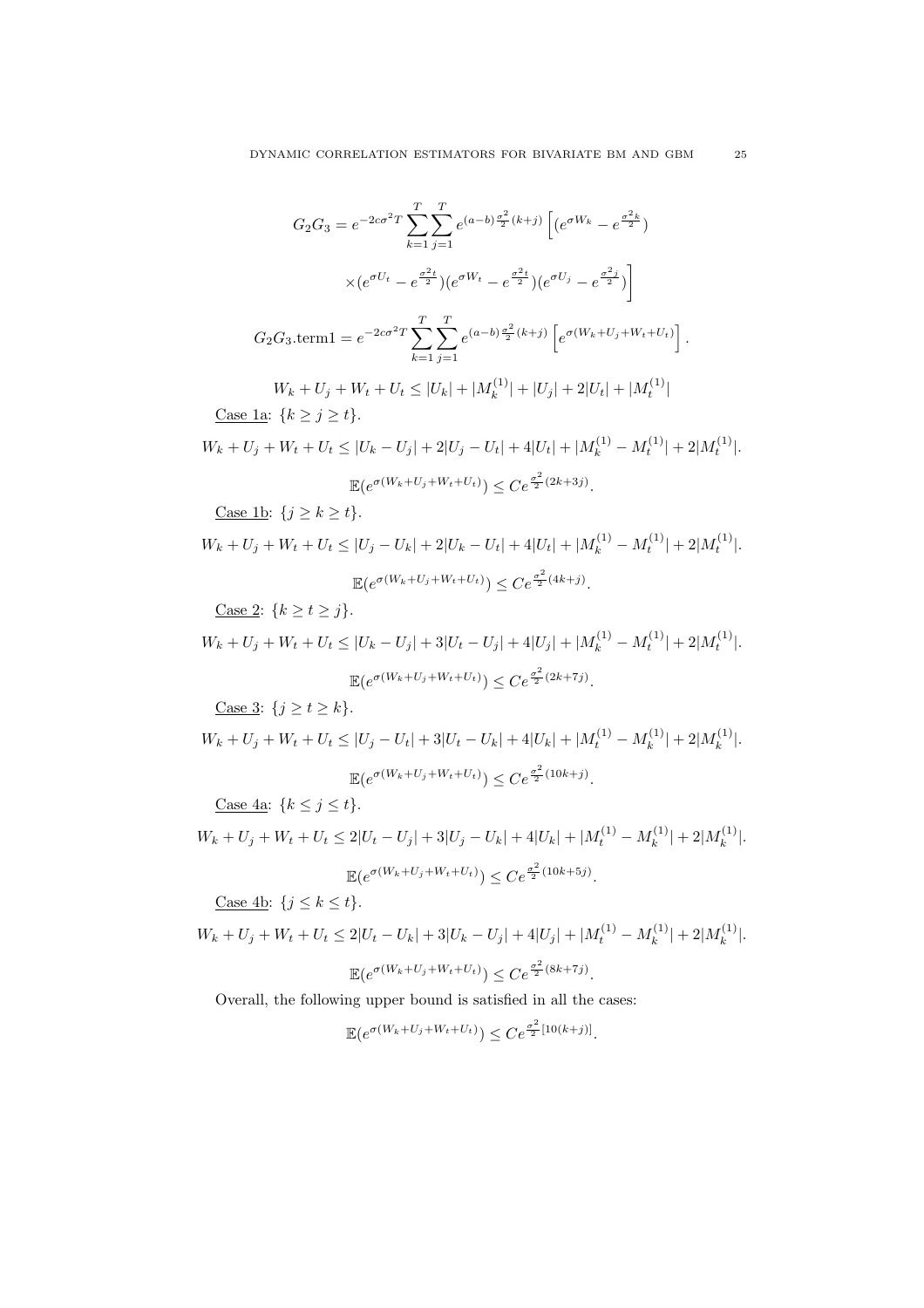$$
G_2 G_3 = e^{-2c\sigma^2 T} \sum_{k=1}^T \sum_{j=1}^T e^{(a-b)\frac{\sigma^2}{2}(k+j)} \left[ (e^{\sigma W_k} - e^{\frac{\sigma^2 k}{2}}) \right]
$$

$$
\times (e^{\sigma U_t} - e^{\frac{\sigma^2 t}{2}}) (e^{\sigma W_t} - e^{\frac{\sigma^2 t}{2}}) (e^{\sigma U_j} - e^{\frac{\sigma^2 j}{2}}) \right]
$$

$$
T T
$$

$$
G_2 G_3.\text{term1} = e^{-2c\sigma^2 T} \sum_{k=1}^T \sum_{j=1}^T e^{(a-b)\frac{\sigma^2}{2}(k+j)} \left[ e^{\sigma(W_k + U_j + W_t + U_t)} \right]
$$

.

 $W_k + U_j + W_t + U_t \leq |U_k| + |M_k^{(1)}|$  $|k_t^{(1)}| + |U_j| + 2|U_t| + |M_t^{(1)}|$ Case 1a:  ${k \ge j \ge t}.$ 

$$
W_k + U_j + W_t + U_t \le |U_k - U_j| + 2|U_j - U_t| + 4|U_t| + |M_k^{(1)} - M_t^{(1)}| + 2|M_t^{(1)}|.
$$
  

$$
\mathbb{E}(e^{\sigma(W_k + U_j + W_t + U_t)}) \le C e^{\frac{\sigma^2}{2}(2k + 3j)}.
$$

Case 1b:  $\{j \geq k \geq t\}.$ 

$$
W_k + U_j + W_t + U_t \le |U_j - U_k| + 2|U_k - U_t| + 4|U_t| + |M_k^{(1)} - M_t^{(1)}| + 2|M_t^{(1)}|.
$$
  

$$
\mathbb{E}(e^{\sigma(W_k + U_j + W_t + U_t)}) \le Ce^{\frac{\sigma^2}{2}(4k+j)}.
$$

<u>Case 2</u>:  ${k \ge t \ge j}.$ 

$$
W_k + U_j + W_t + U_t \le |U_k - U_j| + 3|U_t - U_j| + 4|U_j| + |M_k^{(1)} - M_t^{(1)}| + 2|M_t^{(1)}|.
$$
  

$$
\mathbb{E}(e^{\sigma(W_k + U_j + W_t + U_t)}) \le C e^{\frac{\sigma^2}{2}(2k + 7j)}.
$$

Case 3:  $\{j \ge t \ge k\}.$ 

$$
W_k + U_j + W_t + U_t \le |U_j - U_t| + 3|U_t - U_k| + 4|U_k| + |M_t^{(1)} - M_k^{(1)}| + 2|M_k^{(1)}|.
$$
  

$$
\mathbb{E}(e^{\sigma(W_k + U_j + W_t + U_t)}) \le C e^{\frac{\sigma^2}{2}(10k + j)}.
$$

Case  $4a: \{k \leq j \leq t\}.$ 

$$
W_k + U_j + W_t + U_t \le 2|U_t - U_j| + 3|U_j - U_k| + 4|U_k| + |M_t^{(1)} - M_k^{(1)}| + 2|M_k^{(1)}|.
$$
  

$$
\mathbb{E}(e^{\sigma(W_k + U_j + W_t + U_t)}) \le Ce^{\frac{\sigma^2}{2}(10k + 5j)}.
$$

Case 4b:  $\{j \leq k \leq t\}.$ 

$$
W_k + U_j + W_t + U_t \le 2|U_t - U_k| + 3|U_k - U_j| + 4|U_j| + |M_t^{(1)} - M_k^{(1)}| + 2|M_k^{(1)}|.
$$
  

$$
\mathbb{E}(e^{\sigma(W_k + U_j + W_t + U_t)}) \le Ce^{\frac{\sigma^2}{2}(8k + 7j)}.
$$

Overall, the following upper bound is satisfied in all the cases:

$$
\mathbb{E}(e^{\sigma(W_k+U_j+W_t+U_t)}) \le Ce^{\frac{\sigma^2}{2}[10(k+j)]}.
$$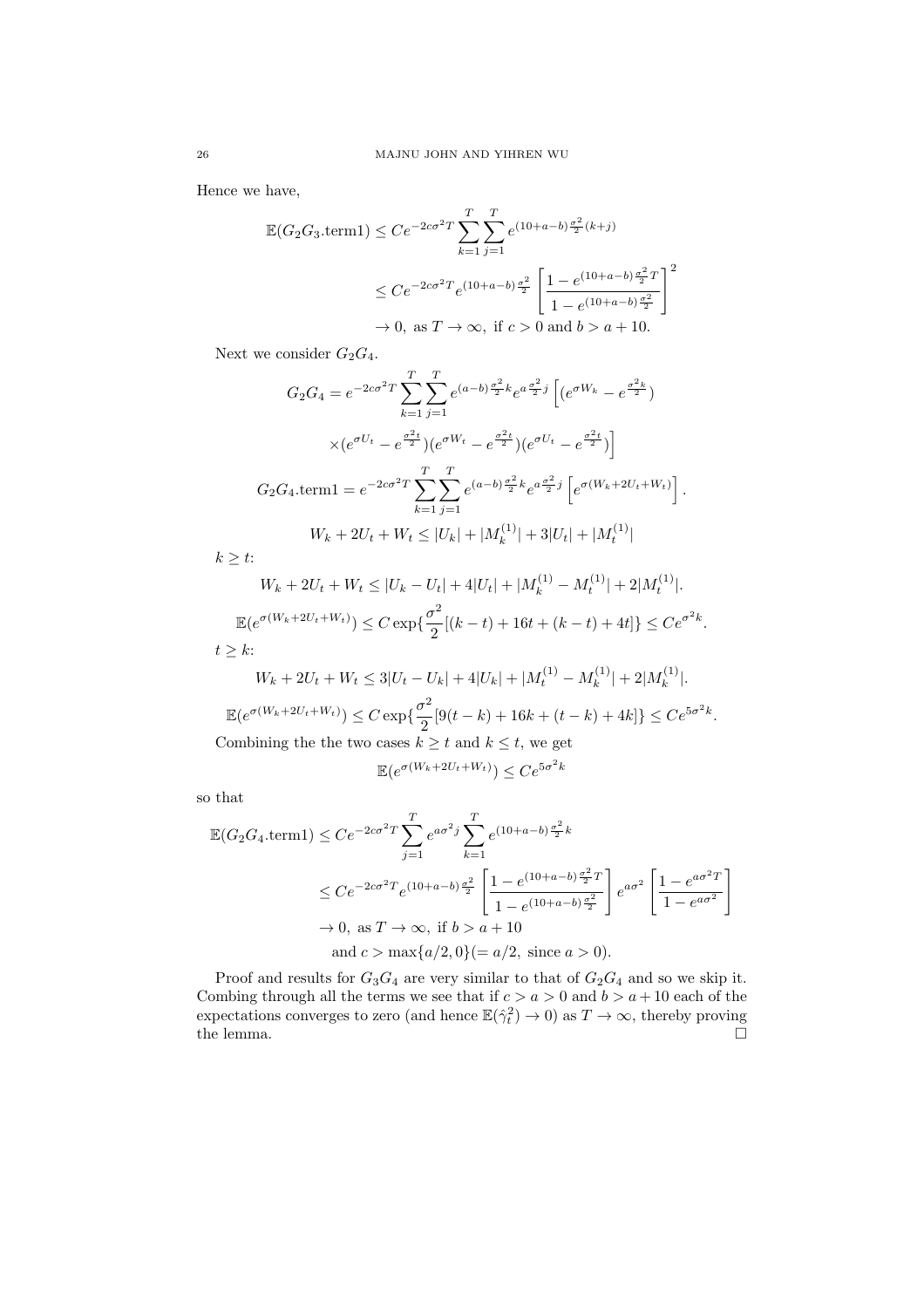Hence we have,

$$
\mathbb{E}(G_2 G_3.\text{term1}) \le Ce^{-2c\sigma^2 T} \sum_{k=1}^T \sum_{j=1}^T e^{(10+a-b)\frac{\sigma^2}{2}(k+j)} \n\le Ce^{-2c\sigma^2 T} e^{(10+a-b)\frac{\sigma^2}{2}} \left[ \frac{1 - e^{(10+a-b)\frac{\sigma^2}{2}T}}{1 - e^{(10+a-b)\frac{\sigma^2}{2}}} \right]^2 \n\to 0, \text{ as } T \to \infty, \text{ if } c > 0 \text{ and } b > a + 10.
$$

Next we consider  $G_2G_4$ .

$$
G_2 G_4 = e^{-2c\sigma^2 T} \sum_{k=1}^T \sum_{j=1}^T e^{(a-b)\frac{\sigma^2}{2}k} e^{a\frac{\sigma^2}{2}j} \left[ (e^{\sigma W_k} - e^{\frac{\sigma^2 k}{2}}) \times (e^{\sigma U_t} - e^{\frac{\sigma^2 t}{2}}) (e^{\sigma W_t} - e^{\frac{\sigma^2 t}{2}}) (e^{\sigma U_t} - e^{\frac{\sigma^2 t}{2}}) \right]
$$
  
\n
$$
G_2 G_4 \cdot \text{term1} = e^{-2c\sigma^2 T} \sum_{k=1}^T \sum_{j=1}^T e^{(a-b)\frac{\sigma^2}{2}k} e^{a\frac{\sigma^2}{2}j} \left[ e^{\sigma (W_k + 2U_t + W_t)} \right].
$$
  
\n
$$
W_k + 2U_t + W_t \le |U_k| + |M_k^{(1)}| + 3|U_t| + |M_t^{(1)}|
$$

 $k \geq t$ :

$$
W_k + 2U_t + W_t \le |U_k - U_t| + 4|U_t| + |M_k^{(1)} - M_t^{(1)}| + 2|M_t^{(1)}|.
$$
  

$$
\mathbb{E}(e^{\sigma(W_k + 2U_t + W_t)}) \le C \exp\{\frac{\sigma^2}{2}[(k - t) + 16t + (k - t) + 4t]\} \le Ce^{\sigma^2 k}.
$$

 $t\geq k$  :

$$
W_k + 2U_t + W_t \le 3|U_t - U_k| + 4|U_k| + |M_t^{(1)} - M_k^{(1)}| + 2|M_k^{(1)}|.
$$
  

$$
\mathbb{E}(e^{\sigma(W_k + 2U_t + W_t)}) \le C \exp\{\frac{\sigma^2}{2}[9(t - k) + 16k + (t - k) + 4k]\} \le Ce^{5\sigma^2 k}.
$$
  
Combining the the two cases  $k \ge t$  and  $k \le t$ , we get

$$
\mathbb{E}(e^{\sigma(W_k + 2U_t + W_t)}) \le Ce^{5\sigma^2 k}
$$

so that

$$
\mathbb{E}(G_2 G_4.\text{term1}) \leq Ce^{-2c\sigma^2 T} \sum_{j=1}^T e^{a\sigma^2 j} \sum_{k=1}^T e^{(10+a-b)\frac{\sigma^2}{2}k}
$$
\n
$$
\leq Ce^{-2c\sigma^2 T} e^{(10+a-b)\frac{\sigma^2}{2}} \left[ \frac{1 - e^{(10+a-b)\frac{\sigma^2}{2}T}}{1 - e^{(10+a-b)\frac{\sigma^2}{2}}} \right] e^{a\sigma^2} \left[ \frac{1 - e^{a\sigma^2 T}}{1 - e^{a\sigma^2}} \right]
$$
\n
$$
\to 0, \text{ as } T \to \infty, \text{ if } b > a + 10
$$
\n
$$
\text{and } c > \max\{a/2, 0\} (= a/2, \text{ since } a > 0).
$$

Proof and results for  $G_3G_4$  are very similar to that of  $G_2G_4$  and so we skip it. Combing through all the terms we see that if  $c > a > 0$  and  $b > a + 10$  each of the expectations converges to zero (and hence  $\mathbb{E}(\hat{\gamma}_t^2) \to 0$ ) as  $T \to \infty$ , thereby proving the lemma.  $\Box$